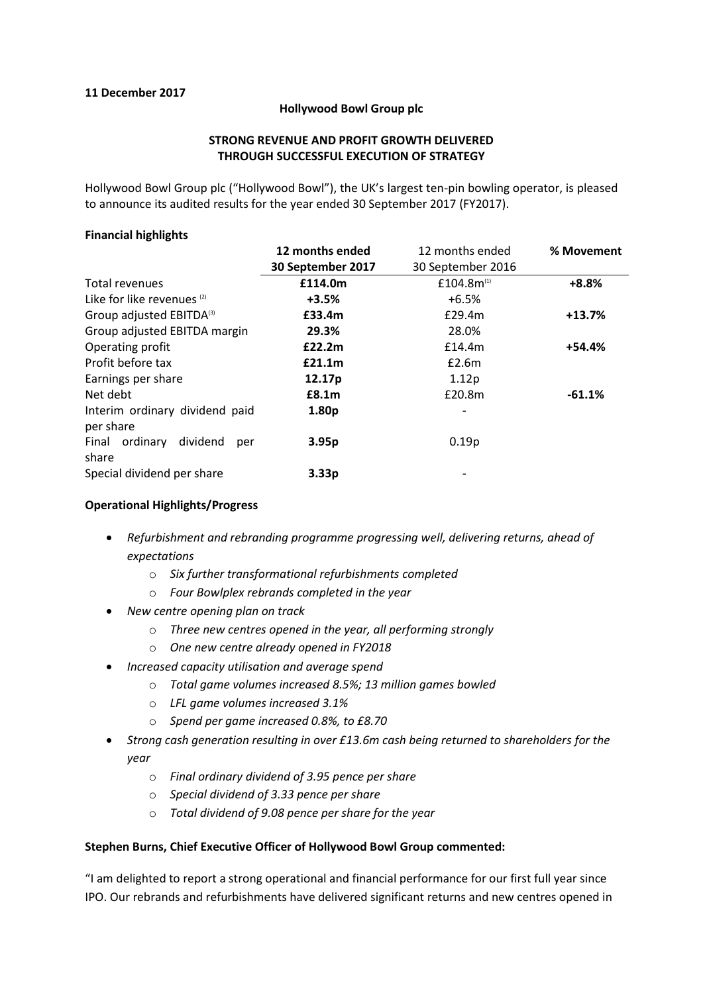## **11 December 2017**

### **Hollywood Bowl Group plc**

## **STRONG REVENUE AND PROFIT GROWTH DELIVERED THROUGH SUCCESSFUL EXECUTION OF STRATEGY**

Hollywood Bowl Group plc ("Hollywood Bowl"), the UK's largest ten-pin bowling operator, is pleased to announce its audited results for the year ended 30 September 2017 (FY2017).

## **Financial highlights**

|                                       | 12 months ended    | 12 months ended          | % Movement |
|---------------------------------------|--------------------|--------------------------|------------|
|                                       | 30 September 2017  | 30 September 2016        |            |
| Total revenues                        | £114.0m            | £104.8 $m^{(1)}$         | $+8.8%$    |
| Like for like revenues <sup>(2)</sup> | $+3.5%$            | $+6.5%$                  |            |
| Group adjusted EBITDA(3)              | £33.4m             | £29.4m                   | $+13.7%$   |
| Group adjusted EBITDA margin          | 29.3%              | 28.0%                    |            |
| Operating profit                      | £22.2m             | £14.4m                   | $+54.4%$   |
| Profit before tax                     | £21.1m             | E2.6m                    |            |
| Earnings per share                    | 12.17 <sub>p</sub> | 1.12p                    |            |
| Net debt                              | £8.1m              | £20.8m                   | $-61.1%$   |
| Interim ordinary dividend paid        | 1.80p              | $\overline{\phantom{a}}$ |            |
| per share                             |                    |                          |            |
| Final ordinary<br>dividend<br>per     | 3.95p              | 0.19p                    |            |
| share                                 |                    |                          |            |
| Special dividend per share            | 3.33 <sub>p</sub>  |                          |            |

## **Operational Highlights/Progress**

- *Refurbishment and rebranding programme progressing well, delivering returns, ahead of expectations*
	- o *Six further transformational refurbishments completed*
	- o *Four Bowlplex rebrands completed in the year*
- *New centre opening plan on track*
	- o *Three new centres opened in the year, all performing strongly*
	- o *One new centre already opened in FY2018*
- *Increased capacity utilisation and average spend*
	- o *Total game volumes increased 8.5%; 13 million games bowled*
	- o *LFL game volumes increased 3.1%*
	- o *Spend per game increased 0.8%, to £8.70*
- *Strong cash generation resulting in over £13.6m cash being returned to shareholders for the year*
	- o *Final ordinary dividend of 3.95 pence per share*
	- o *Special dividend of 3.33 pence per share*
	- o *Total dividend of 9.08 pence per share for the year*

#### **Stephen Burns, Chief Executive Officer of Hollywood Bowl Group commented:**

"I am delighted to report a strong operational and financial performance for our first full year since IPO. Our rebrands and refurbishments have delivered significant returns and new centres opened in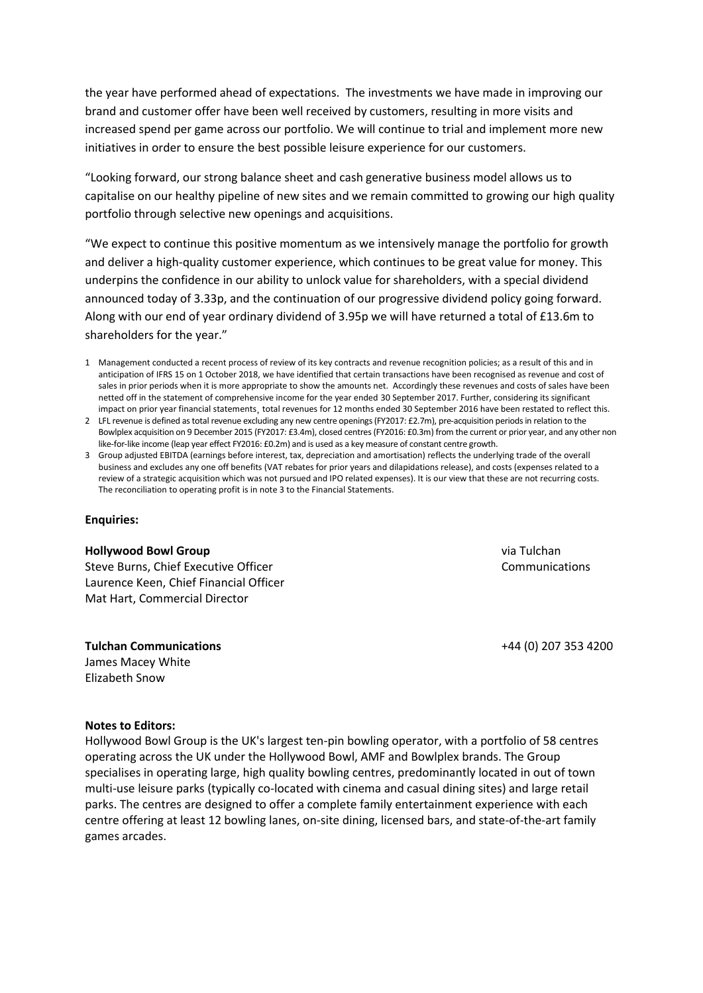the year have performed ahead of expectations. The investments we have made in improving our brand and customer offer have been well received by customers, resulting in more visits and increased spend per game across our portfolio. We will continue to trial and implement more new initiatives in order to ensure the best possible leisure experience for our customers.

"Looking forward, our strong balance sheet and cash generative business model allows us to capitalise on our healthy pipeline of new sites and we remain committed to growing our high quality portfolio through selective new openings and acquisitions.

"We expect to continue this positive momentum as we intensively manage the portfolio for growth and deliver a high-quality customer experience, which continues to be great value for money. This underpins the confidence in our ability to unlock value for shareholders, with a special dividend announced today of 3.33p, and the continuation of our progressive dividend policy going forward. Along with our end of year ordinary dividend of 3.95p we will have returned a total of £13.6m to shareholders for the year."

- 1 Management conducted a recent process of review of its key contracts and revenue recognition policies; as a result of this and in anticipation of IFRS 15 on 1 October 2018, we have identified that certain transactions have been recognised as revenue and cost of sales in prior periods when it is more appropriate to show the amounts net. Accordingly these revenues and costs of sales have been netted off in the statement of comprehensive income for the year ended 30 September 2017. Further, considering its significant impact on prior year financial statements, total revenues for 12 months ended 30 September 2016 have been restated to reflect this.
- 2 LFL revenue is defined as total revenue excluding any new centre openings (FY2017: £2.7m), pre-acquisition periods in relation to the Bowlplex acquisition on 9 December 2015 (FY2017: £3.4m), closed centres (FY2016: £0.3m) from the current or prior year, and any other non like-for-like income (leap year effect FY2016: £0.2m) and is used as a key measure of constant centre growth.
- 3 Group adjusted EBITDA (earnings before interest, tax, depreciation and amortisation) reflects the underlying trade of the overall business and excludes any one off benefits (VAT rebates for prior years and dilapidations release), and costs (expenses related to a review of a strategic acquisition which was not pursued and IPO related expenses). It is our view that these are not recurring costs. The reconciliation to operating profit is in note 3 to the Financial Statements.

#### **Enquiries:**

#### **Hollywood Bowl Group**

Steve Burns, Chief Executive Officer Laurence Keen, Chief Financial Officer Mat Hart, Commercial Director

**Tulchan Communications** James Macey White Elizabeth Snow

via Tulchan Communications

+44 (0) 207 353 4200

#### **Notes to Editors:**

Hollywood Bowl Group is the UK's largest ten-pin bowling operator, with a portfolio of 58 centres operating across the UK under the Hollywood Bowl, AMF and Bowlplex brands. The Group specialises in operating large, high quality bowling centres, predominantly located in out of town multi-use leisure parks (typically co-located with cinema and casual dining sites) and large retail parks. The centres are designed to offer a complete family entertainment experience with each centre offering at least 12 bowling lanes, on-site dining, licensed bars, and state-of-the-art family games arcades.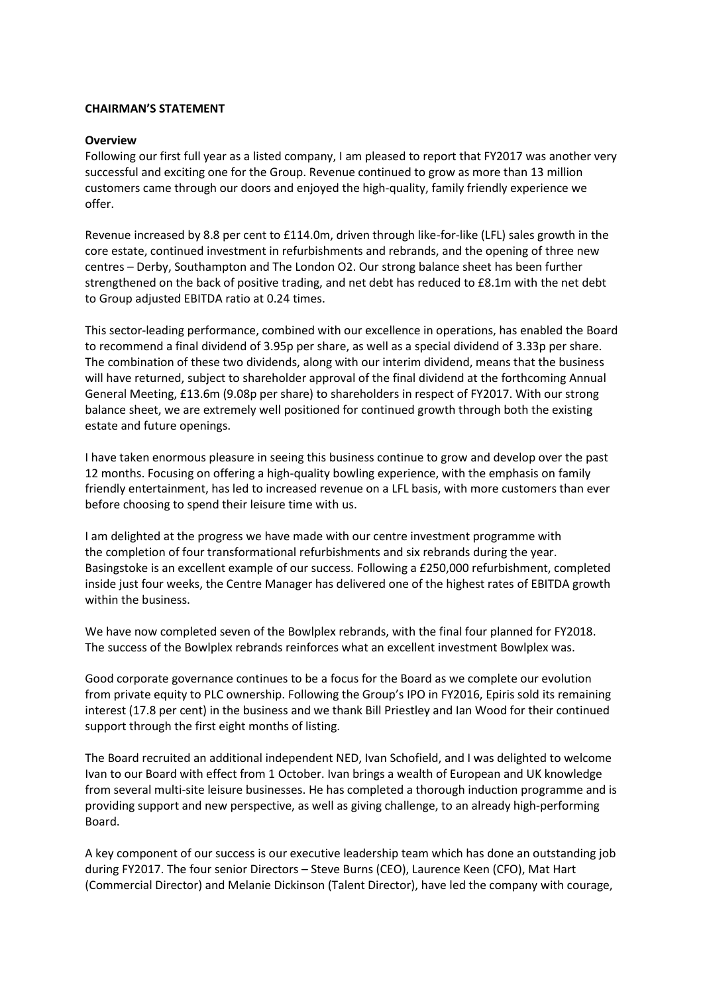## **CHAIRMAN'S STATEMENT**

### **Overview**

Following our first full year as a listed company, I am pleased to report that FY2017 was another very successful and exciting one for the Group. Revenue continued to grow as more than 13 million customers came through our doors and enjoyed the high-quality, family friendly experience we offer.

Revenue increased by 8.8 per cent to £114.0m, driven through like-for-like (LFL) sales growth in the core estate, continued investment in refurbishments and rebrands, and the opening of three new centres – Derby, Southampton and The London O2. Our strong balance sheet has been further strengthened on the back of positive trading, and net debt has reduced to £8.1m with the net debt to Group adjusted EBITDA ratio at 0.24 times.

This sector-leading performance, combined with our excellence in operations, has enabled the Board to recommend a final dividend of 3.95p per share, as well as a special dividend of 3.33p per share. The combination of these two dividends, along with our interim dividend, means that the business will have returned, subject to shareholder approval of the final dividend at the forthcoming Annual General Meeting, £13.6m (9.08p per share) to shareholders in respect of FY2017. With our strong balance sheet, we are extremely well positioned for continued growth through both the existing estate and future openings.

I have taken enormous pleasure in seeing this business continue to grow and develop over the past 12 months. Focusing on offering a high-quality bowling experience, with the emphasis on family friendly entertainment, has led to increased revenue on a LFL basis, with more customers than ever before choosing to spend their leisure time with us.

I am delighted at the progress we have made with our centre investment programme with the completion of four transformational refurbishments and six rebrands during the year. Basingstoke is an excellent example of our success. Following a £250,000 refurbishment, completed inside just four weeks, the Centre Manager has delivered one of the highest rates of EBITDA growth within the business.

We have now completed seven of the Bowlplex rebrands, with the final four planned for FY2018. The success of the Bowlplex rebrands reinforces what an excellent investment Bowlplex was.

Good corporate governance continues to be a focus for the Board as we complete our evolution from private equity to PLC ownership. Following the Group's IPO in FY2016, Epiris sold its remaining interest (17.8 per cent) in the business and we thank Bill Priestley and Ian Wood for their continued support through the first eight months of listing.

The Board recruited an additional independent NED, Ivan Schofield, and I was delighted to welcome Ivan to our Board with effect from 1 October. Ivan brings a wealth of European and UK knowledge from several multi-site leisure businesses. He has completed a thorough induction programme and is providing support and new perspective, as well as giving challenge, to an already high-performing Board.

A key component of our success is our executive leadership team which has done an outstanding job during FY2017. The four senior Directors – Steve Burns (CEO), Laurence Keen (CFO), Mat Hart (Commercial Director) and Melanie Dickinson (Talent Director), have led the company with courage,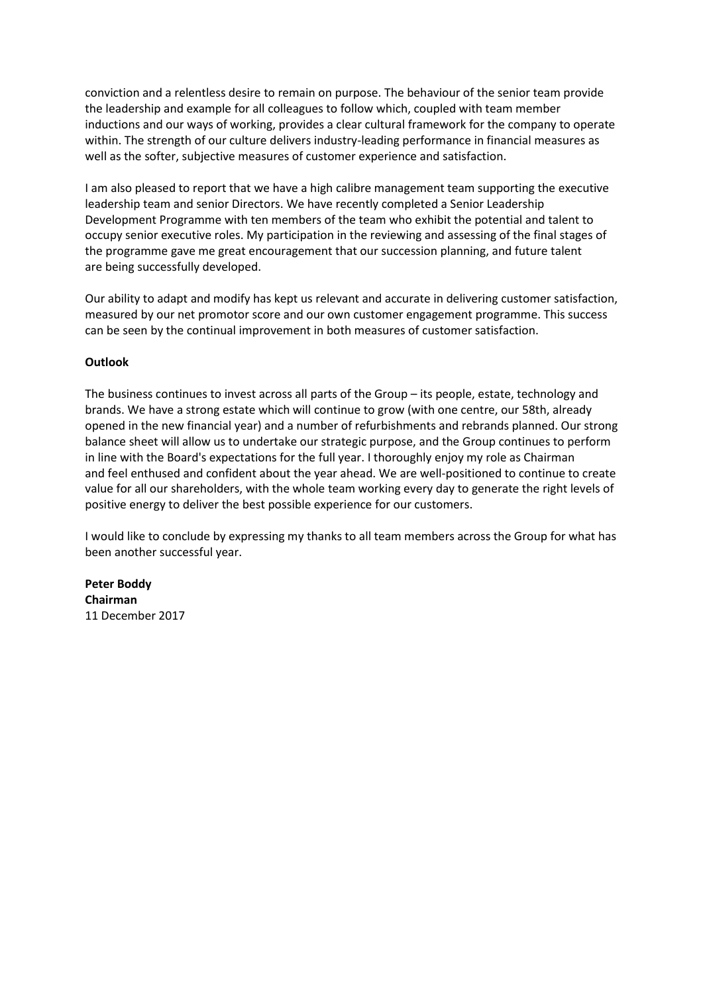conviction and a relentless desire to remain on purpose. The behaviour of the senior team provide the leadership and example for all colleagues to follow which, coupled with team member inductions and our ways of working, provides a clear cultural framework for the company to operate within. The strength of our culture delivers industry-leading performance in financial measures as well as the softer, subjective measures of customer experience and satisfaction.

I am also pleased to report that we have a high calibre management team supporting the executive leadership team and senior Directors. We have recently completed a Senior Leadership Development Programme with ten members of the team who exhibit the potential and talent to occupy senior executive roles. My participation in the reviewing and assessing of the final stages of the programme gave me great encouragement that our succession planning, and future talent are being successfully developed.

Our ability to adapt and modify has kept us relevant and accurate in delivering customer satisfaction, measured by our net promotor score and our own customer engagement programme. This success can be seen by the continual improvement in both measures of customer satisfaction.

## **Outlook**

The business continues to invest across all parts of the Group – its people, estate, technology and brands. We have a strong estate which will continue to grow (with one centre, our 58th, already opened in the new financial year) and a number of refurbishments and rebrands planned. Our strong balance sheet will allow us to undertake our strategic purpose, and the Group continues to perform in line with the Board's expectations for the full year. I thoroughly enjoy my role as Chairman and feel enthused and confident about the year ahead. We are well-positioned to continue to create value for all our shareholders, with the whole team working every day to generate the right levels of positive energy to deliver the best possible experience for our customers.

I would like to conclude by expressing my thanks to all team members across the Group for what has been another successful year.

**Peter Boddy Chairman** 11 December 2017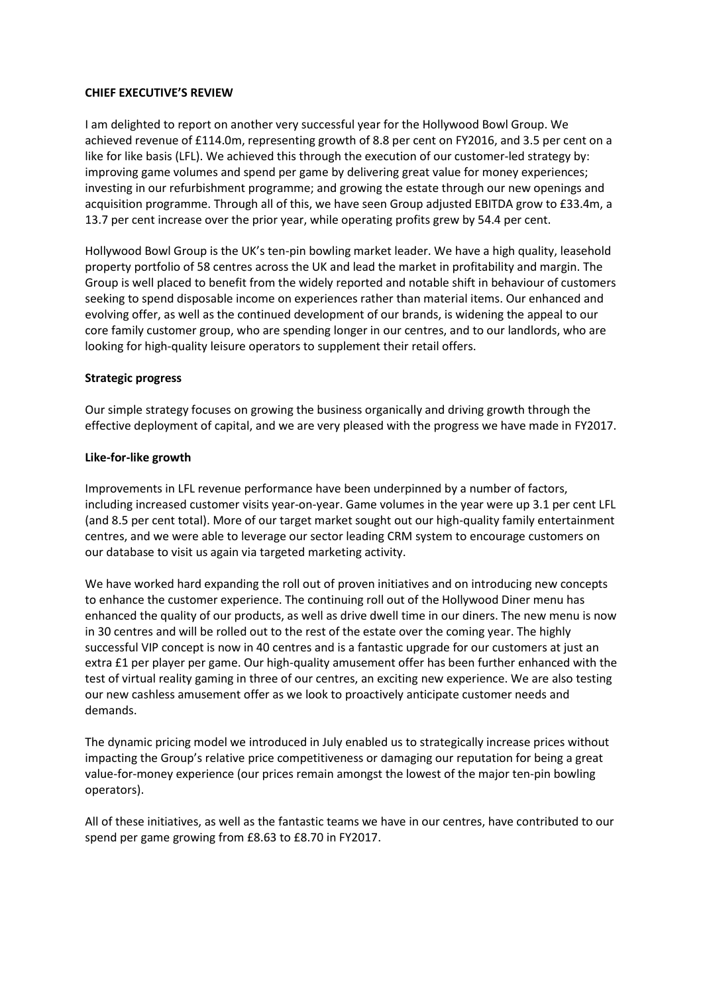## **CHIEF EXECUTIVE'S REVIEW**

I am delighted to report on another very successful year for the Hollywood Bowl Group. We achieved revenue of £114.0m, representing growth of 8.8 per cent on FY2016, and 3.5 per cent on a like for like basis (LFL). We achieved this through the execution of our customer-led strategy by: improving game volumes and spend per game by delivering great value for money experiences; investing in our refurbishment programme; and growing the estate through our new openings and acquisition programme. Through all of this, we have seen Group adjusted EBITDA grow to £33.4m, a 13.7 per cent increase over the prior year, while operating profits grew by 54.4 per cent.

Hollywood Bowl Group is the UK's ten-pin bowling market leader. We have a high quality, leasehold property portfolio of 58 centres across the UK and lead the market in profitability and margin. The Group is well placed to benefit from the widely reported and notable shift in behaviour of customers seeking to spend disposable income on experiences rather than material items. Our enhanced and evolving offer, as well as the continued development of our brands, is widening the appeal to our core family customer group, who are spending longer in our centres, and to our landlords, who are looking for high-quality leisure operators to supplement their retail offers.

### **Strategic progress**

Our simple strategy focuses on growing the business organically and driving growth through the effective deployment of capital, and we are very pleased with the progress we have made in FY2017.

### **Like-for-like growth**

Improvements in LFL revenue performance have been underpinned by a number of factors, including increased customer visits year-on-year. Game volumes in the year were up 3.1 per cent LFL (and 8.5 per cent total). More of our target market sought out our high-quality family entertainment centres, and we were able to leverage our sector leading CRM system to encourage customers on our database to visit us again via targeted marketing activity.

We have worked hard expanding the roll out of proven initiatives and on introducing new concepts to enhance the customer experience. The continuing roll out of the Hollywood Diner menu has enhanced the quality of our products, as well as drive dwell time in our diners. The new menu is now in 30 centres and will be rolled out to the rest of the estate over the coming year. The highly successful VIP concept is now in 40 centres and is a fantastic upgrade for our customers at just an extra £1 per player per game. Our high-quality amusement offer has been further enhanced with the test of virtual reality gaming in three of our centres, an exciting new experience. We are also testing our new cashless amusement offer as we look to proactively anticipate customer needs and demands.

The dynamic pricing model we introduced in July enabled us to strategically increase prices without impacting the Group's relative price competitiveness or damaging our reputation for being a great value-for-money experience (our prices remain amongst the lowest of the major ten-pin bowling operators).

All of these initiatives, as well as the fantastic teams we have in our centres, have contributed to our spend per game growing from £8.63 to £8.70 in FY2017.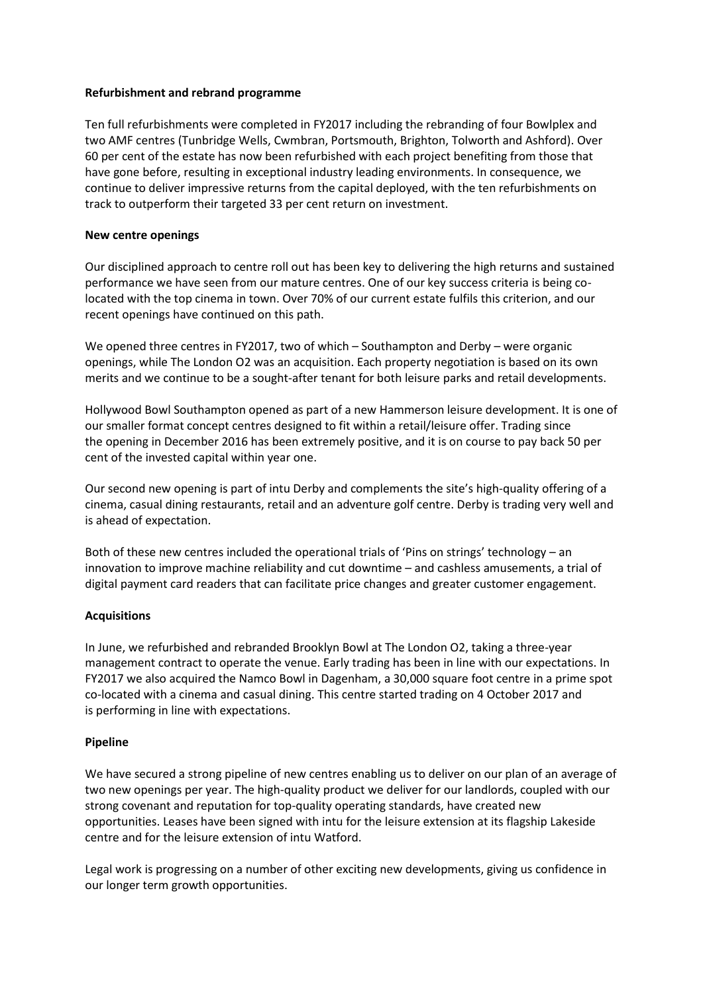## **Refurbishment and rebrand programme**

Ten full refurbishments were completed in FY2017 including the rebranding of four Bowlplex and two AMF centres (Tunbridge Wells, Cwmbran, Portsmouth, Brighton, Tolworth and Ashford). Over 60 per cent of the estate has now been refurbished with each project benefiting from those that have gone before, resulting in exceptional industry leading environments. In consequence, we continue to deliver impressive returns from the capital deployed, with the ten refurbishments on track to outperform their targeted 33 per cent return on investment.

## **New centre openings**

Our disciplined approach to centre roll out has been key to delivering the high returns and sustained performance we have seen from our mature centres. One of our key success criteria is being colocated with the top cinema in town. Over 70% of our current estate fulfils this criterion, and our recent openings have continued on this path.

We opened three centres in FY2017, two of which – Southampton and Derby – were organic openings, while The London O2 was an acquisition. Each property negotiation is based on its own merits and we continue to be a sought-after tenant for both leisure parks and retail developments.

Hollywood Bowl Southampton opened as part of a new Hammerson leisure development. It is one of our smaller format concept centres designed to fit within a retail/leisure offer. Trading since the opening in December 2016 has been extremely positive, and it is on course to pay back 50 per cent of the invested capital within year one.

Our second new opening is part of intu Derby and complements the site's high-quality offering of a cinema, casual dining restaurants, retail and an adventure golf centre. Derby is trading very well and is ahead of expectation.

Both of these new centres included the operational trials of 'Pins on strings' technology – an innovation to improve machine reliability and cut downtime – and cashless amusements, a trial of digital payment card readers that can facilitate price changes and greater customer engagement.

## **Acquisitions**

In June, we refurbished and rebranded Brooklyn Bowl at The London O2, taking a three-year management contract to operate the venue. Early trading has been in line with our expectations. In FY2017 we also acquired the Namco Bowl in Dagenham, a 30,000 square foot centre in a prime spot co-located with a cinema and casual dining. This centre started trading on 4 October 2017 and is performing in line with expectations.

## **Pipeline**

We have secured a strong pipeline of new centres enabling us to deliver on our plan of an average of two new openings per year. The high-quality product we deliver for our landlords, coupled with our strong covenant and reputation for top-quality operating standards, have created new opportunities. Leases have been signed with intu for the leisure extension at its flagship Lakeside centre and for the leisure extension of intu Watford.

Legal work is progressing on a number of other exciting new developments, giving us confidence in our longer term growth opportunities.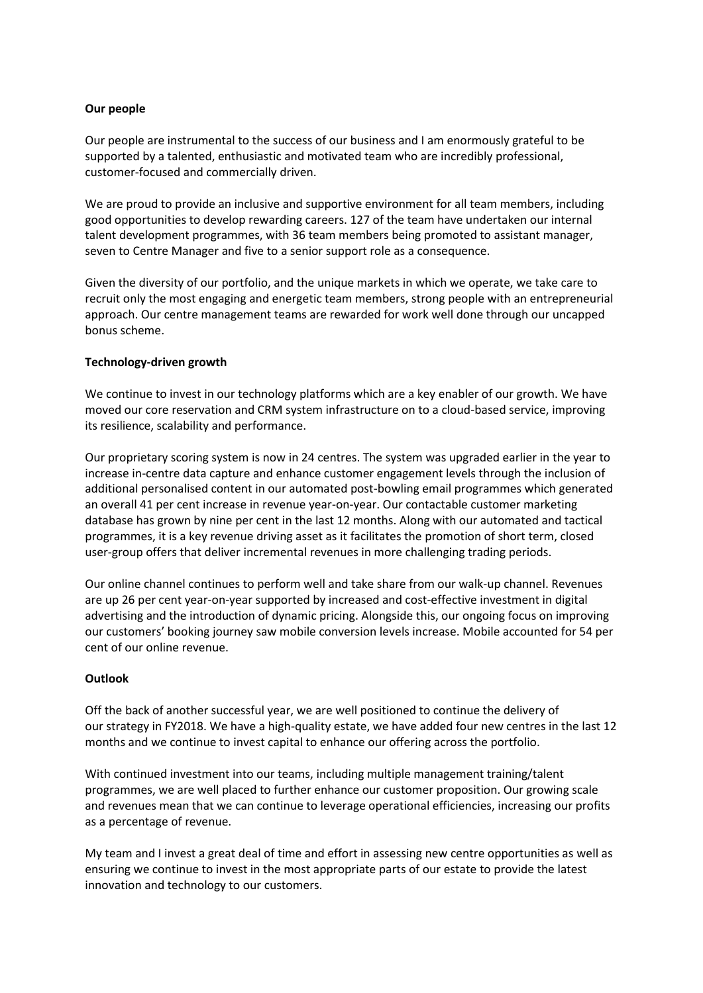## **Our people**

Our people are instrumental to the success of our business and I am enormously grateful to be supported by a talented, enthusiastic and motivated team who are incredibly professional, customer-focused and commercially driven.

We are proud to provide an inclusive and supportive environment for all team members, including good opportunities to develop rewarding careers. 127 of the team have undertaken our internal talent development programmes, with 36 team members being promoted to assistant manager, seven to Centre Manager and five to a senior support role as a consequence.

Given the diversity of our portfolio, and the unique markets in which we operate, we take care to recruit only the most engaging and energetic team members, strong people with an entrepreneurial approach. Our centre management teams are rewarded for work well done through our uncapped bonus scheme.

## **Technology-driven growth**

We continue to invest in our technology platforms which are a key enabler of our growth. We have moved our core reservation and CRM system infrastructure on to a cloud-based service, improving its resilience, scalability and performance.

Our proprietary scoring system is now in 24 centres. The system was upgraded earlier in the year to increase in-centre data capture and enhance customer engagement levels through the inclusion of additional personalised content in our automated post-bowling email programmes which generated an overall 41 per cent increase in revenue year-on-year. Our contactable customer marketing database has grown by nine per cent in the last 12 months. Along with our automated and tactical programmes, it is a key revenue driving asset as it facilitates the promotion of short term, closed user-group offers that deliver incremental revenues in more challenging trading periods.

Our online channel continues to perform well and take share from our walk-up channel. Revenues are up 26 per cent year-on-year supported by increased and cost-effective investment in digital advertising and the introduction of dynamic pricing. Alongside this, our ongoing focus on improving our customers' booking journey saw mobile conversion levels increase. Mobile accounted for 54 per cent of our online revenue.

## **Outlook**

Off the back of another successful year, we are well positioned to continue the delivery of our strategy in FY2018. We have a high-quality estate, we have added four new centres in the last 12 months and we continue to invest capital to enhance our offering across the portfolio.

With continued investment into our teams, including multiple management training/talent programmes, we are well placed to further enhance our customer proposition. Our growing scale and revenues mean that we can continue to leverage operational efficiencies, increasing our profits as a percentage of revenue.

My team and I invest a great deal of time and effort in assessing new centre opportunities as well as ensuring we continue to invest in the most appropriate parts of our estate to provide the latest innovation and technology to our customers.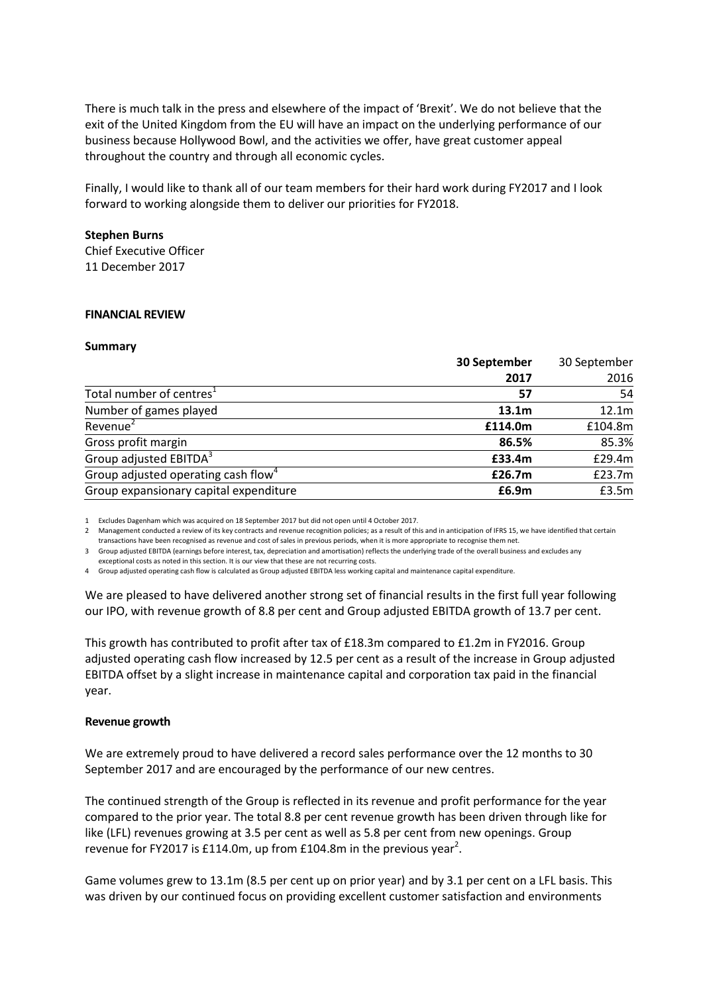There is much talk in the press and elsewhere of the impact of 'Brexit'. We do not believe that the exit of the United Kingdom from the EU will have an impact on the underlying performance of our business because Hollywood Bowl, and the activities we offer, have great customer appeal throughout the country and through all economic cycles.

Finally, I would like to thank all of our team members for their hard work during FY2017 and I look forward to working alongside them to deliver our priorities for FY2018.

#### **Stephen Burns**

Chief Executive Officer 11 December 2017

### **FINANCIAL REVIEW**

#### **Summary**

|                                                 | 30 September      | 30 September |  |
|-------------------------------------------------|-------------------|--------------|--|
|                                                 | 2017              | 2016         |  |
| Total number of centres <sup>1</sup>            | 57                | 54           |  |
| Number of games played                          | 13.1 <sub>m</sub> | 12.1m        |  |
| Revenue <sup>2</sup>                            | £114.0m           | £104.8m      |  |
| Gross profit margin                             | 86.5%             | 85.3%        |  |
| Group adjusted EBITDA <sup>3</sup>              | £33.4m            | £29.4m       |  |
| Group adjusted operating cash flow <sup>4</sup> | £26.7m            | £23.7m       |  |
| Group expansionary capital expenditure          | £6.9m             | £3.5m        |  |

1 Excludes Dagenham which was acquired on 18 September 2017 but did not open until 4 October 2017.

2 Management conducted a review of its key contracts and revenue recognition policies; as a result of this and in anticipation of IFRS 15, we have identified that certain transactions have been recognised as revenue and cost of sales in previous periods, when it is more appropriate to recognise them net.

3 Group adjusted EBITDA (earnings before interest, tax, depreciation and amortisation) reflects the underlying trade of the overall business and excludes any exceptional costs as noted in this section. It is our view that these are not recurring costs.

4 Group adjusted operating cash flow is calculated as Group adjusted EBITDA less working capital and maintenance capital expenditure.

We are pleased to have delivered another strong set of financial results in the first full year following our IPO, with revenue growth of 8.8 per cent and Group adjusted EBITDA growth of 13.7 per cent.

This growth has contributed to profit after tax of £18.3m compared to £1.2m in FY2016. Group adjusted operating cash flow increased by 12.5 per cent as a result of the increase in Group adjusted EBITDA offset by a slight increase in maintenance capital and corporation tax paid in the financial year.

### **Revenue growth**

We are extremely proud to have delivered a record sales performance over the 12 months to 30 September 2017 and are encouraged by the performance of our new centres.

The continued strength of the Group is reflected in its revenue and profit performance for the year compared to the prior year. The total 8.8 per cent revenue growth has been driven through like for like (LFL) revenues growing at 3.5 per cent as well as 5.8 per cent from new openings. Group revenue for FY2017 is £114.0m, up from £104.8m in the previous year<sup>2</sup>.

Game volumes grew to 13.1m (8.5 per cent up on prior year) and by 3.1 per cent on a LFL basis. This was driven by our continued focus on providing excellent customer satisfaction and environments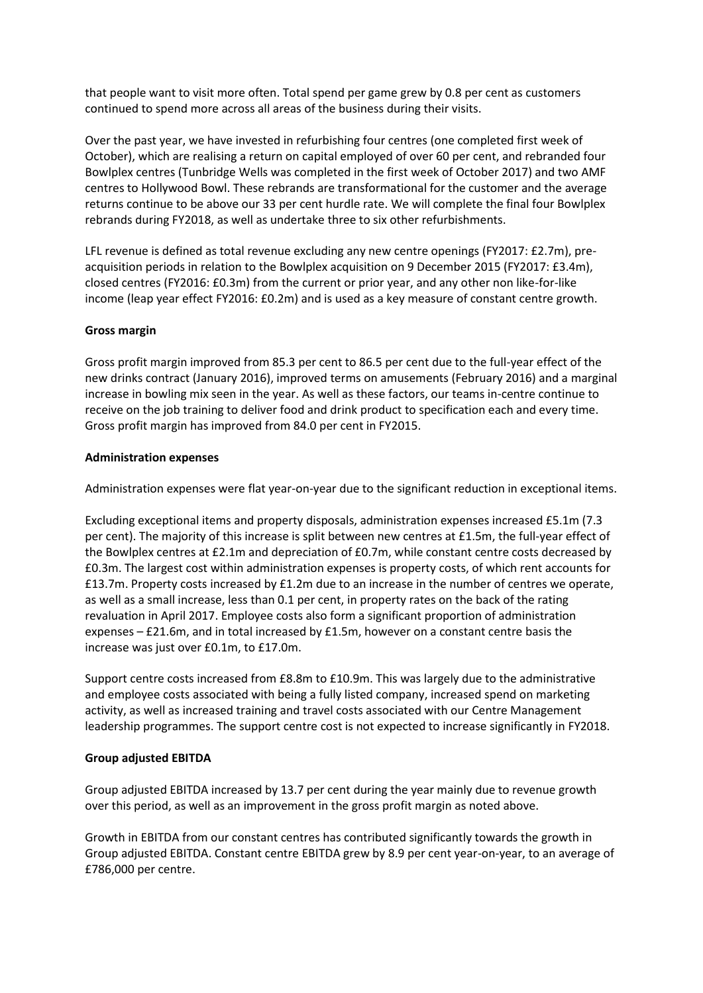that people want to visit more often. Total spend per game grew by 0.8 per cent as customers continued to spend more across all areas of the business during their visits.

Over the past year, we have invested in refurbishing four centres (one completed first week of October), which are realising a return on capital employed of over 60 per cent, and rebranded four Bowlplex centres (Tunbridge Wells was completed in the first week of October 2017) and two AMF centres to Hollywood Bowl. These rebrands are transformational for the customer and the average returns continue to be above our 33 per cent hurdle rate. We will complete the final four Bowlplex rebrands during FY2018, as well as undertake three to six other refurbishments.

LFL revenue is defined as total revenue excluding any new centre openings (FY2017: £2.7m), preacquisition periods in relation to the Bowlplex acquisition on 9 December 2015 (FY2017: £3.4m), closed centres (FY2016: £0.3m) from the current or prior year, and any other non like-for-like income (leap year effect FY2016: £0.2m) and is used as a key measure of constant centre growth.

## **Gross margin**

Gross profit margin improved from 85.3 per cent to 86.5 per cent due to the full-year effect of the new drinks contract (January 2016), improved terms on amusements (February 2016) and a marginal increase in bowling mix seen in the year. As well as these factors, our teams in-centre continue to receive on the job training to deliver food and drink product to specification each and every time. Gross profit margin has improved from 84.0 per cent in FY2015.

## **Administration expenses**

Administration expenses were flat year-on-year due to the significant reduction in exceptional items.

Excluding exceptional items and property disposals, administration expenses increased £5.1m (7.3 per cent). The majority of this increase is split between new centres at £1.5m, the full-year effect of the Bowlplex centres at £2.1m and depreciation of £0.7m, while constant centre costs decreased by £0.3m. The largest cost within administration expenses is property costs, of which rent accounts for £13.7m. Property costs increased by £1.2m due to an increase in the number of centres we operate, as well as a small increase, less than 0.1 per cent, in property rates on the back of the rating revaluation in April 2017. Employee costs also form a significant proportion of administration expenses – £21.6m, and in total increased by £1.5m, however on a constant centre basis the increase was just over £0.1m, to £17.0m.

Support centre costs increased from £8.8m to £10.9m. This was largely due to the administrative and employee costs associated with being a fully listed company, increased spend on marketing activity, as well as increased training and travel costs associated with our Centre Management leadership programmes. The support centre cost is not expected to increase significantly in FY2018.

## **Group adjusted EBITDA**

Group adjusted EBITDA increased by 13.7 per cent during the year mainly due to revenue growth over this period, as well as an improvement in the gross profit margin as noted above.

Growth in EBITDA from our constant centres has contributed significantly towards the growth in Group adjusted EBITDA. Constant centre EBITDA grew by 8.9 per cent year-on-year, to an average of £786,000 per centre.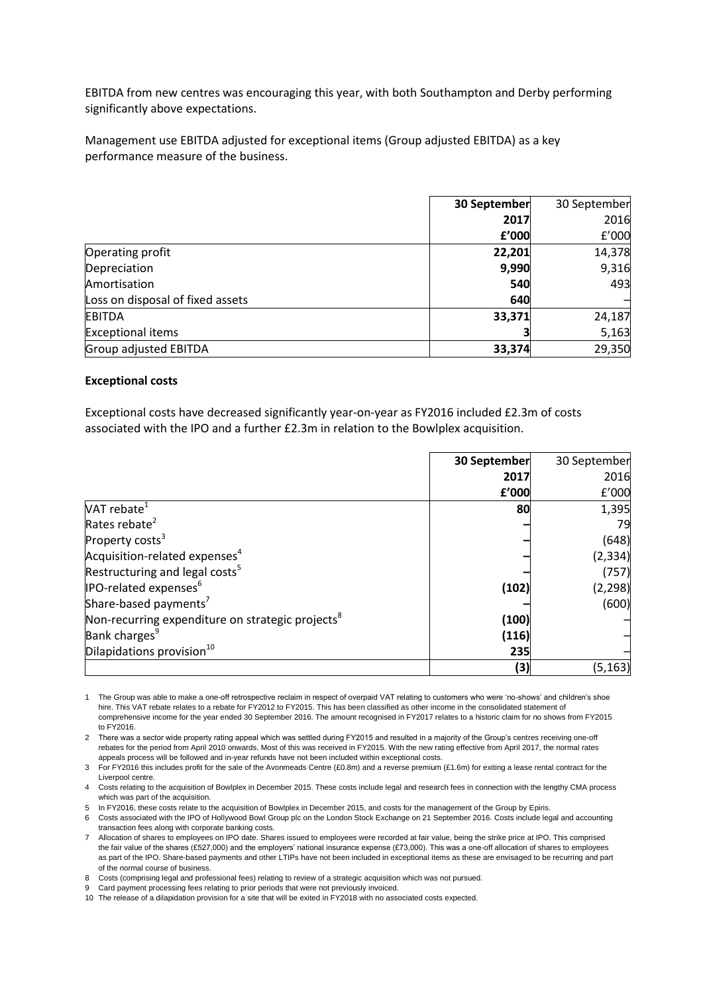EBITDA from new centres was encouraging this year, with both Southampton and Derby performing significantly above expectations.

Management use EBITDA adjusted for exceptional items (Group adjusted EBITDA) as a key performance measure of the business.

|                                  | 30 September | 30 September |
|----------------------------------|--------------|--------------|
|                                  | 2017         | 2016         |
|                                  | f'000        | f'000        |
| Operating profit                 | 22,201       | 14,378       |
| Depreciation                     | 9,990        | 9,316        |
| Amortisation                     | 540          | 493          |
| Loss on disposal of fixed assets | 640          |              |
| <b>EBITDA</b>                    | 33,371       | 24,187       |
| <b>Exceptional items</b>         |              | 5,163        |
| Group adjusted EBITDA            | 33,374       | 29,350       |

#### **Exceptional costs**

Exceptional costs have decreased significantly year-on-year as FY2016 included £2.3m of costs associated with the IPO and a further £2.3m in relation to the Bowlplex acquisition.

|                                                              | 30 September | 30 September |
|--------------------------------------------------------------|--------------|--------------|
|                                                              | 2017         | 2016         |
|                                                              | £'000        | f'000        |
| VAT rebate $^1$                                              | 80           | 1,395        |
| Rates rebate <sup>2</sup>                                    |              | 79           |
| Property costs <sup>3</sup>                                  |              | (648)        |
| Acquisition-related expenses <sup>4</sup>                    |              | (2, 334)     |
| Restructuring and legal costs <sup>5</sup>                   |              | (757)        |
| <b>IPO-related expenses</b> <sup>6</sup>                     | (102)        | (2, 298)     |
| Share-based payments <sup>7</sup>                            |              | (600)        |
| Non-recurring expenditure on strategic projects <sup>8</sup> | (100)        |              |
| Bank charges <sup>9</sup>                                    | (116)        |              |
| Dilapidations provision <sup>10</sup>                        | 235          |              |
|                                                              | (3)          | (5, 163)     |

1 The Group was able to make a one-off retrospective reclaim in respect of overpaid VAT relating to customers who were 'no-shows' and children's shoe hire. This VAT rebate relates to a rebate for FY2012 to FY2015. This has been classified as other income in the consolidated statement of comprehensive income for the year ended 30 September 2016. The amount recognised in FY2017 relates to a historic claim for no shows from FY2015 to FY2016.

2 There was a sector wide property rating appeal which was settled during FY2015 and resulted in a majority of the Group's centres receiving one-off rebates for the period from April 2010 onwards. Most of this was received in FY2015. With the new rating effective from April 2017, the normal rates appeals process will be followed and in-year refunds have not been included within exceptional costs.

3 For FY2016 this includes profit for the sale of the Avonmeads Centre (£0.8m) and a reverse premium (£1.6m) for exiting a lease rental contract for the Liverpool centre.

4 Costs relating to the acquisition of Bowlplex in December 2015. These costs include legal and research fees in connection with the lengthy CMA process which was part of the acquisition.

5 In FY2016, these costs relate to the acquisition of Bowlplex in December 2015, and costs for the management of the Group by Epiris.

6 Costs associated with the IPO of Hollywood Bowl Group plc on the London Stock Exchange on 21 September 2016. Costs include legal and accounting transaction fees along with corporate banking costs.

7 Allocation of shares to employees on IPO date. Shares issued to employees were recorded at fair value, being the strike price at IPO. This comprised the fair value of the shares (£527,000) and the employers' national insurance expense (£73,000). This was a one-off allocation of shares to employees as part of the IPO. Share-based payments and other LTIPs have not been included in exceptional items as these are envisaged to be recurring and part of the normal course of business.

8 Costs (comprising legal and professional fees) relating to review of a strategic acquisition which was not pursued.

9 Card payment processing fees relating to prior periods that were not previously invoiced.

10 The release of a dilapidation provision for a site that will be exited in FY2018 with no associated costs expected.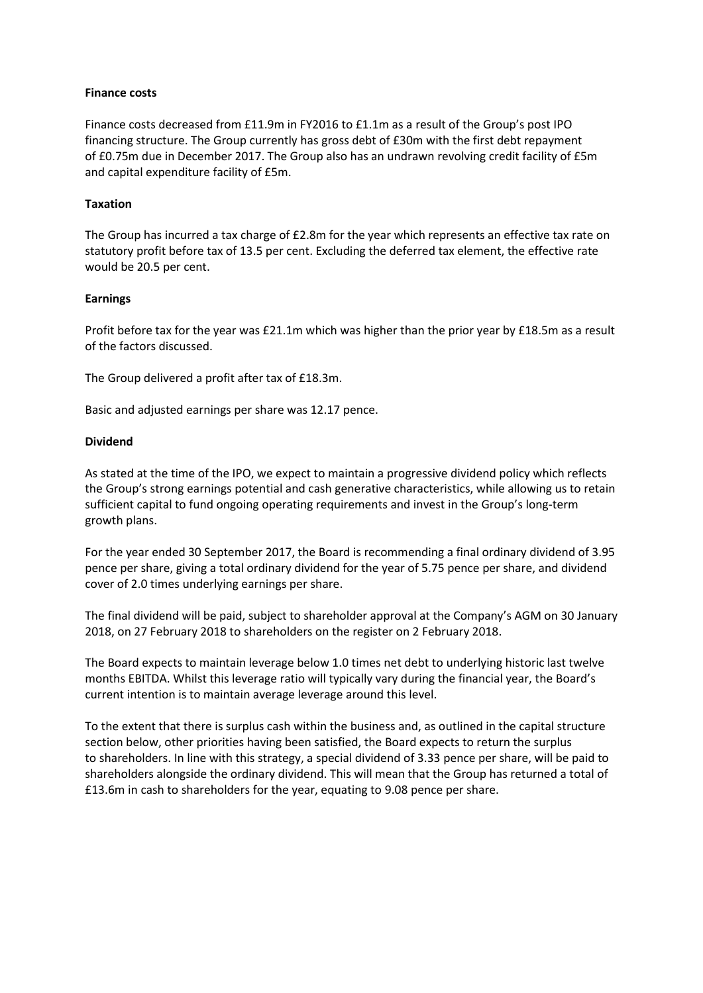### **Finance costs**

Finance costs decreased from £11.9m in FY2016 to £1.1m as a result of the Group's post IPO financing structure. The Group currently has gross debt of £30m with the first debt repayment of £0.75m due in December 2017. The Group also has an undrawn revolving credit facility of £5m and capital expenditure facility of £5m.

## **Taxation**

The Group has incurred a tax charge of £2.8m for the year which represents an effective tax rate on statutory profit before tax of 13.5 per cent. Excluding the deferred tax element, the effective rate would be 20.5 per cent.

### **Earnings**

Profit before tax for the year was £21.1m which was higher than the prior year by £18.5m as a result of the factors discussed.

The Group delivered a profit after tax of £18.3m.

Basic and adjusted earnings per share was 12.17 pence.

### **Dividend**

As stated at the time of the IPO, we expect to maintain a progressive dividend policy which reflects the Group's strong earnings potential and cash generative characteristics, while allowing us to retain sufficient capital to fund ongoing operating requirements and invest in the Group's long-term growth plans.

For the year ended 30 September 2017, the Board is recommending a final ordinary dividend of 3.95 pence per share, giving a total ordinary dividend for the year of 5.75 pence per share, and dividend cover of 2.0 times underlying earnings per share.

The final dividend will be paid, subject to shareholder approval at the Company's AGM on 30 January 2018, on 27 February 2018 to shareholders on the register on 2 February 2018.

The Board expects to maintain leverage below 1.0 times net debt to underlying historic last twelve months EBITDA. Whilst this leverage ratio will typically vary during the financial year, the Board's current intention is to maintain average leverage around this level.

To the extent that there is surplus cash within the business and, as outlined in the capital structure section below, other priorities having been satisfied, the Board expects to return the surplus to shareholders. In line with this strategy, a special dividend of 3.33 pence per share, will be paid to shareholders alongside the ordinary dividend. This will mean that the Group has returned a total of £13.6m in cash to shareholders for the year, equating to 9.08 pence per share.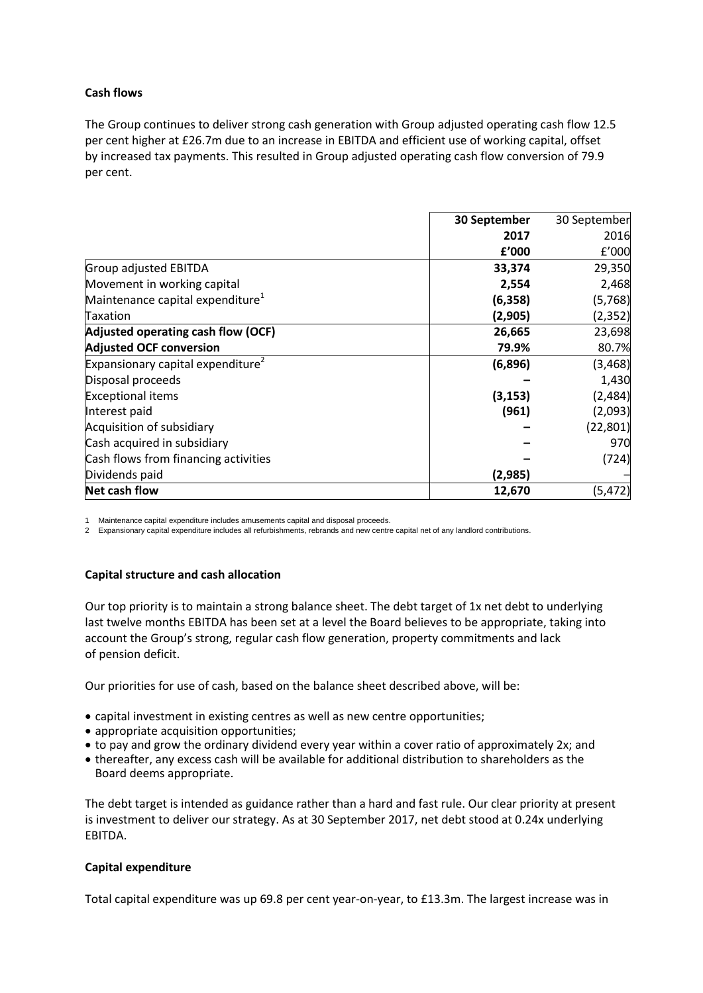## **Cash flows**

The Group continues to deliver strong cash generation with Group adjusted operating cash flow 12.5 per cent higher at £26.7m due to an increase in EBITDA and efficient use of working capital, offset by increased tax payments. This resulted in Group adjusted operating cash flow conversion of 79.9 per cent.

|                                               | 30 September | 30 September |
|-----------------------------------------------|--------------|--------------|
|                                               | 2017         | 2016         |
|                                               | f'000        | f'000        |
| Group adjusted EBITDA                         | 33,374       | 29,350       |
| Movement in working capital                   | 2,554        | 2,468        |
| Maintenance capital expenditure <sup>1</sup>  | (6, 358)     | (5,768)      |
| Taxation                                      | (2,905)      | (2, 352)     |
| Adjusted operating cash flow (OCF)            | 26,665       | 23,698       |
| <b>Adjusted OCF conversion</b>                | 79.9%        | 80.7%        |
| Expansionary capital expenditure <sup>2</sup> | (6,896)      | (3, 468)     |
| Disposal proceeds                             |              | 1,430        |
| <b>Exceptional items</b>                      | (3, 153)     | (2, 484)     |
| Interest paid                                 | (961)        | (2,093)      |
| Acquisition of subsidiary                     |              | (22, 801)    |
| Cash acquired in subsidiary                   |              | 970          |
| Cash flows from financing activities          |              | (724)        |
| Dividends paid                                | (2,985)      |              |
| Net cash flow                                 | 12,670       | (5,472)      |

1 Maintenance capital expenditure includes amusements capital and disposal proceeds.

2 Expansionary capital expenditure includes all refurbishments, rebrands and new centre capital net of any landlord contributions.

## **Capital structure and cash allocation**

Our top priority is to maintain a strong balance sheet. The debt target of 1x net debt to underlying last twelve months EBITDA has been set at a level the Board believes to be appropriate, taking into account the Group's strong, regular cash flow generation, property commitments and lack of pension deficit.

Our priorities for use of cash, based on the balance sheet described above, will be:

- capital investment in existing centres as well as new centre opportunities;
- appropriate acquisition opportunities:
- to pay and grow the ordinary dividend every year within a cover ratio of approximately 2x; and
- thereafter, any excess cash will be available for additional distribution to shareholders as the Board deems appropriate.

The debt target is intended as guidance rather than a hard and fast rule. Our clear priority at present is investment to deliver our strategy. As at 30 September 2017, net debt stood at 0.24x underlying EBITDA.

## **Capital expenditure**

Total capital expenditure was up 69.8 per cent year-on-year, to £13.3m. The largest increase was in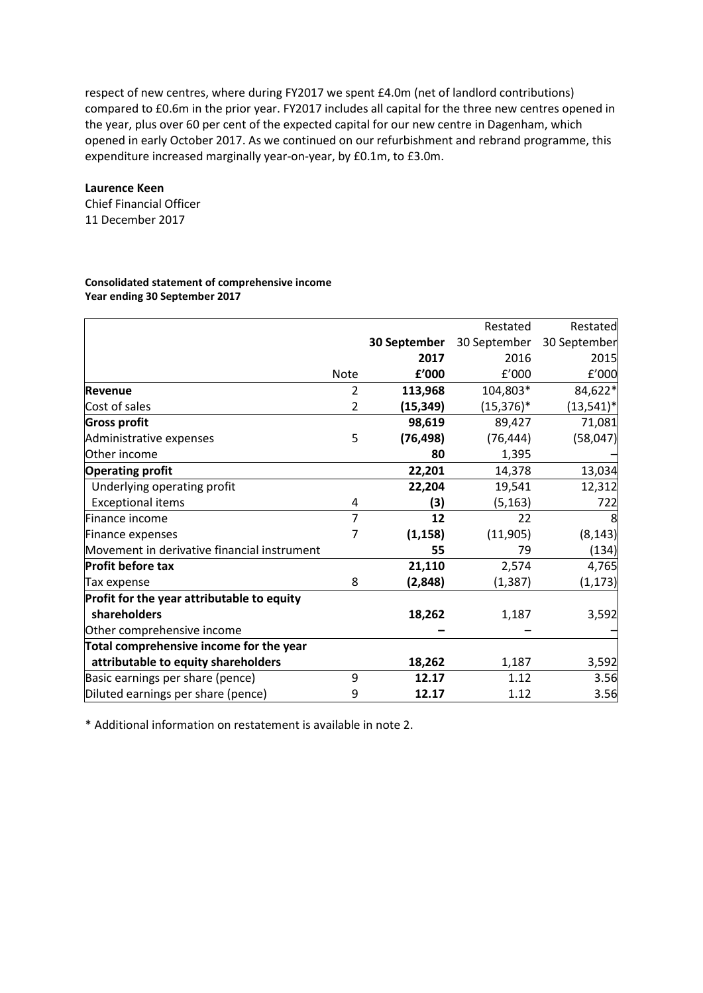respect of new centres, where during FY2017 we spent £4.0m (net of landlord contributions) compared to £0.6m in the prior year. FY2017 includes all capital for the three new centres opened in the year, plus over 60 per cent of the expected capital for our new centre in Dagenham, which opened in early October 2017. As we continued on our refurbishment and rebrand programme, this expenditure increased marginally year-on-year, by £0.1m, to £3.0m.

#### **Laurence Keen**

Chief Financial Officer 11 December 2017

#### **Consolidated statement of comprehensive income Year ending 30 September 2017**

|                                             |                |              | Restated      | Restated     |
|---------------------------------------------|----------------|--------------|---------------|--------------|
|                                             |                | 30 September | 30 September  | 30 September |
|                                             |                | 2017         | 2016          | 2015         |
|                                             | <b>Note</b>    | f'000        | f'000         | f'000        |
| Revenue                                     | 2              | 113,968      | 104,803*      | 84,622*      |
| Cost of sales                               | $\overline{2}$ | (15, 349)    | $(15, 376)^*$ | $(13,541)*$  |
| <b>Gross profit</b>                         |                | 98,619       | 89,427        | 71,081       |
| Administrative expenses                     | 5              | (76, 498)    | (76, 444)     | (58,047)     |
| Other income                                |                | 80           | 1,395         |              |
| <b>Operating profit</b>                     |                | 22,201       | 14,378        | 13,034       |
| Underlying operating profit                 |                | 22,204       | 19,541        | 12,312       |
| <b>Exceptional items</b>                    | 4              | (3)          | (5, 163)      | 722          |
| Finance income                              | $\overline{7}$ | 12           | 22            | 8            |
| Finance expenses                            | 7              | (1, 158)     | (11, 905)     | (8, 143)     |
| Movement in derivative financial instrument |                | 55           | 79            | (134)        |
| <b>Profit before tax</b>                    |                | 21,110       | 2,574         | 4,765        |
| Tax expense                                 | 8              | (2,848)      | (1, 387)      | (1, 173)     |
| Profit for the year attributable to equity  |                |              |               |              |
| shareholders                                |                | 18,262       | 1,187         | 3,592        |
| Other comprehensive income                  |                |              |               |              |
| Total comprehensive income for the year     |                |              |               |              |
| attributable to equity shareholders         |                | 18,262       | 1,187         | 3,592        |
| Basic earnings per share (pence)            | 9              | 12.17        | 1.12          | 3.56         |
| Diluted earnings per share (pence)          | 9              | 12.17        | 1.12          | 3.56         |

\* Additional information on restatement is available in note 2.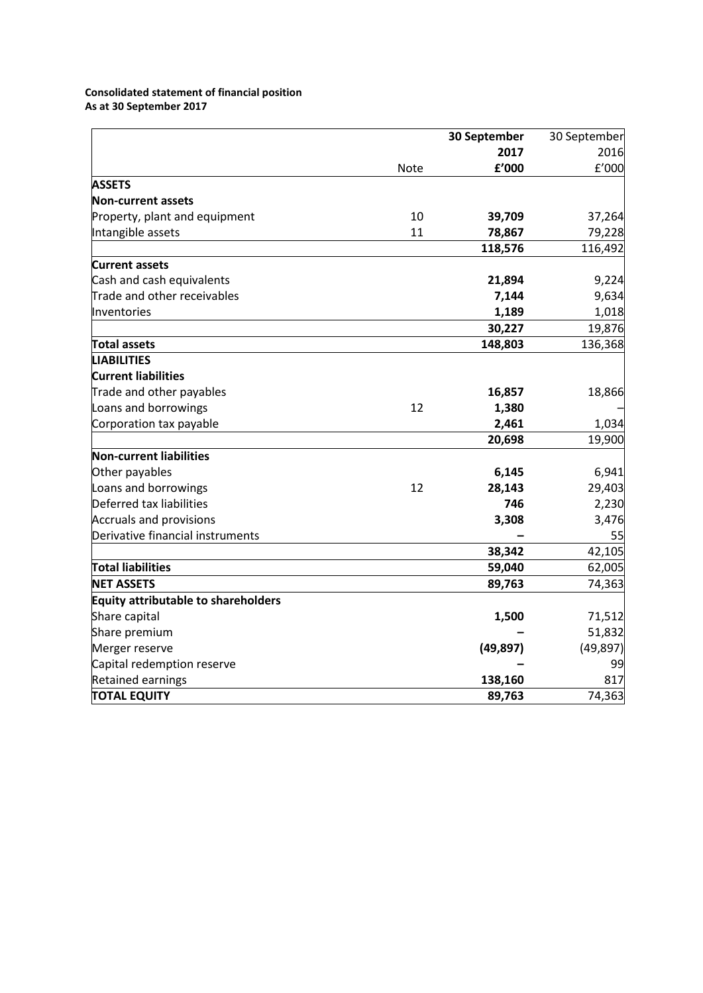## **Consolidated statement of financial position As at 30 September 2017**

|                                            |      | 30 September |           |
|--------------------------------------------|------|--------------|-----------|
|                                            |      | 2017         | 2016      |
|                                            | Note | £'000        | f'000     |
| <b>ASSETS</b>                              |      |              |           |
| <b>Non-current assets</b>                  |      |              |           |
| Property, plant and equipment              | 10   | 39,709       | 37,264    |
| Intangible assets                          | 11   | 78,867       | 79,228    |
|                                            |      | 118,576      | 116,492   |
| <b>Current assets</b>                      |      |              |           |
| Cash and cash equivalents                  |      | 21,894       | 9,224     |
| Trade and other receivables                |      | 7,144        | 9,634     |
| Inventories                                |      | 1,189        | 1,018     |
|                                            |      | 30,227       | 19,876    |
| <b>Total assets</b>                        |      | 148,803      | 136,368   |
| <b>LIABILITIES</b>                         |      |              |           |
| <b>Current liabilities</b>                 |      |              |           |
| Trade and other payables                   |      | 16,857       | 18,866    |
| Loans and borrowings                       | 12   | 1,380        |           |
| Corporation tax payable                    |      | 2,461        | 1,034     |
|                                            |      | 20,698       | 19,900    |
| <b>Non-current liabilities</b>             |      |              |           |
| Other payables                             |      | 6,145        | 6,941     |
| Loans and borrowings                       | 12   | 28,143       | 29,403    |
| Deferred tax liabilities                   |      | 746          | 2,230     |
| <b>Accruals and provisions</b>             |      | 3,308        | 3,476     |
| Derivative financial instruments           |      |              | 55        |
|                                            |      | 38,342       | 42,105    |
| <b>Total liabilities</b>                   |      | 59,040       | 62,005    |
| <b>NET ASSETS</b>                          |      | 89,763       | 74,363    |
| <b>Equity attributable to shareholders</b> |      |              |           |
| Share capital                              |      | 1,500        | 71,512    |
| Share premium                              |      |              | 51,832    |
| Merger reserve                             |      | (49, 897)    | (49, 897) |
| Capital redemption reserve                 |      |              | 99        |
| Retained earnings                          |      | 138,160      | 817       |
| <b>TOTAL EQUITY</b>                        |      | 89,763       | 74,363    |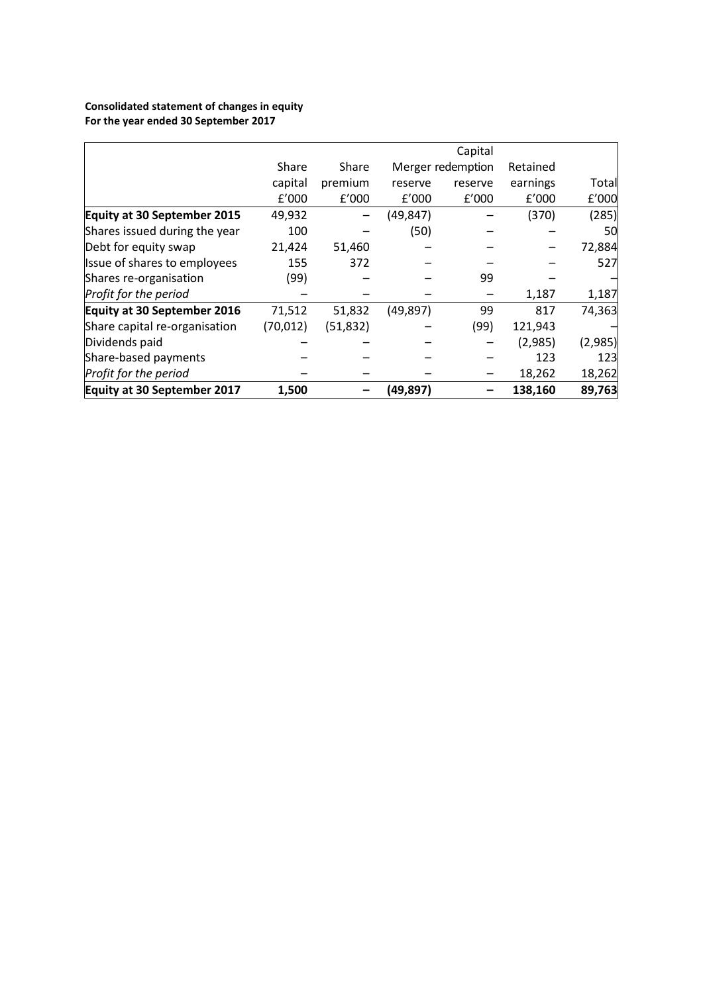## **Consolidated statement of changes in equity For the year ended 30 September 2017**

|                               |           |           |           | Capital           |          |         |
|-------------------------------|-----------|-----------|-----------|-------------------|----------|---------|
|                               | Share     | Share     |           | Merger redemption | Retained |         |
|                               | capital   | premium   | reserve   | reserve           | earnings | Total   |
|                               | f'000     | f'000     | f'000     | f'000             | f'000    | f'000   |
| Equity at 30 September 2015   | 49,932    |           | (49,847)  |                   | (370)    | (285)   |
| Shares issued during the year | 100       |           | (50)      |                   |          | 50      |
| Debt for equity swap          | 21,424    | 51,460    |           |                   |          | 72,884  |
| Issue of shares to employees  | 155       | 372       |           |                   |          | 527     |
| Shares re-organisation        | (99)      |           |           | 99                |          |         |
| Profit for the period         |           |           |           |                   | 1,187    | 1,187   |
| Equity at 30 September 2016   | 71,512    | 51,832    | (49, 897) | 99                | 817      | 74,363  |
| Share capital re-organisation | (70, 012) | (51, 832) |           | (99)              | 121,943  |         |
| Dividends paid                |           |           |           |                   | (2,985)  | (2,985) |
| Share-based payments          |           |           |           |                   | 123      | 123     |
| Profit for the period         |           |           |           |                   | 18,262   | 18,262  |
| Equity at 30 September 2017   | 1,500     |           | (49,897)  |                   | 138,160  | 89,763  |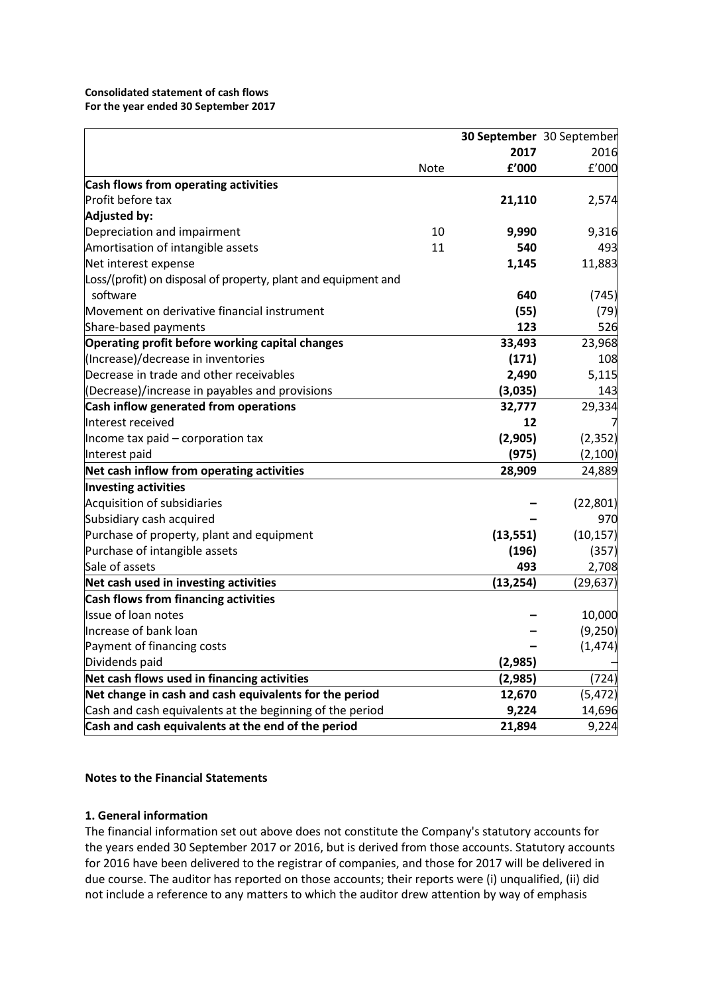### **Consolidated statement of cash flows For the year ended 30 September 2017**

|                                                                |             |           | 30 September 30 September |
|----------------------------------------------------------------|-------------|-----------|---------------------------|
|                                                                |             | 2017      | 2016                      |
|                                                                | <b>Note</b> | f'000     | £'000                     |
| Cash flows from operating activities                           |             |           |                           |
| Profit before tax                                              |             | 21,110    | 2,574                     |
| Adjusted by:                                                   |             |           |                           |
| Depreciation and impairment                                    | 10          | 9,990     | 9,316                     |
| Amortisation of intangible assets                              | 11          | 540       | 493                       |
| Net interest expense                                           |             | 1,145     | 11,883                    |
| Loss/(profit) on disposal of property, plant and equipment and |             |           |                           |
| software                                                       |             | 640       | (745)                     |
| Movement on derivative financial instrument                    |             | (55)      | (79)                      |
| Share-based payments                                           |             | 123       | 526                       |
| Operating profit before working capital changes                |             | 33,493    | 23,968                    |
| (Increase)/decrease in inventories                             |             | (171)     | 108                       |
| Decrease in trade and other receivables                        |             | 2,490     | 5,115                     |
| (Decrease)/increase in payables and provisions                 |             | (3,035)   | 143                       |
| Cash inflow generated from operations                          |             | 32,777    | 29,334                    |
| Interest received                                              |             | 12        |                           |
| Income tax paid - corporation tax                              |             | (2,905)   | (2, 352)                  |
| Interest paid                                                  |             | (975)     | (2, 100)                  |
| Net cash inflow from operating activities                      |             | 28,909    | 24,889                    |
| <b>Investing activities</b>                                    |             |           |                           |
| Acquisition of subsidiaries                                    |             |           | (22, 801)                 |
| Subsidiary cash acquired                                       |             |           | 970                       |
| Purchase of property, plant and equipment                      |             | (13, 551) | (10, 157)                 |
| Purchase of intangible assets                                  |             | (196)     | (357)                     |
| Sale of assets                                                 |             | 493       | 2,708                     |
| Net cash used in investing activities                          |             | (13, 254) | (29, 637)                 |
| Cash flows from financing activities                           |             |           |                           |
| Issue of loan notes                                            |             |           | 10,000                    |
| Increase of bank loan                                          |             |           | (9,250)                   |
| Payment of financing costs                                     |             |           | (1, 474)                  |
| Dividends paid                                                 |             | (2,985)   |                           |
| Net cash flows used in financing activities                    |             | (2,985)   | (724)                     |
| Net change in cash and cash equivalents for the period         |             | 12,670    | (5, 472)                  |
| Cash and cash equivalents at the beginning of the period       |             | 9,224     | 14,696                    |
| Cash and cash equivalents at the end of the period             |             | 21,894    | 9,224                     |

## **Notes to the Financial Statements**

## **1. General information**

The financial information set out above does not constitute the Company's statutory accounts for the years ended 30 September 2017 or 2016, but is derived from those accounts. Statutory accounts for 2016 have been delivered to the registrar of companies, and those for 2017 will be delivered in due course. The auditor has reported on those accounts; their reports were (i) unqualified, (ii) did not include a reference to any matters to which the auditor drew attention by way of emphasis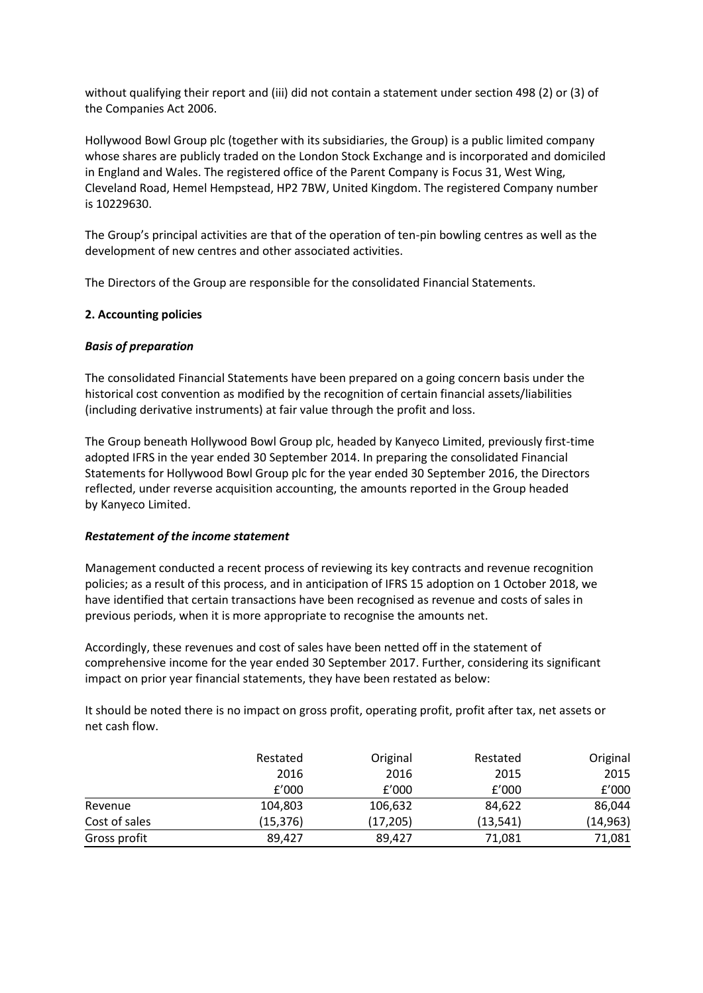without qualifying their report and (iii) did not contain a statement under section 498 (2) or (3) of the Companies Act 2006.

Hollywood Bowl Group plc (together with its subsidiaries, the Group) is a public limited company whose shares are publicly traded on the London Stock Exchange and is incorporated and domiciled in England and Wales. The registered office of the Parent Company is Focus 31, West Wing, Cleveland Road, Hemel Hempstead, HP2 7BW, United Kingdom. The registered Company number is 10229630.

The Group's principal activities are that of the operation of ten-pin bowling centres as well as the development of new centres and other associated activities.

The Directors of the Group are responsible for the consolidated Financial Statements.

## **2. Accounting policies**

## *Basis of preparation*

The consolidated Financial Statements have been prepared on a going concern basis under the historical cost convention as modified by the recognition of certain financial assets/liabilities (including derivative instruments) at fair value through the profit and loss.

The Group beneath Hollywood Bowl Group plc, headed by Kanyeco Limited, previously first-time adopted IFRS in the year ended 30 September 2014. In preparing the consolidated Financial Statements for Hollywood Bowl Group plc for the year ended 30 September 2016, the Directors reflected, under reverse acquisition accounting, the amounts reported in the Group headed by Kanyeco Limited.

## *Restatement of the income statement*

Management conducted a recent process of reviewing its key contracts and revenue recognition policies; as a result of this process, and in anticipation of IFRS 15 adoption on 1 October 2018, we have identified that certain transactions have been recognised as revenue and costs of sales in previous periods, when it is more appropriate to recognise the amounts net.

Accordingly, these revenues and cost of sales have been netted off in the statement of comprehensive income for the year ended 30 September 2017. Further, considering its significant impact on prior year financial statements, they have been restated as below:

It should be noted there is no impact on gross profit, operating profit, profit after tax, net assets or net cash flow.

|               | Restated  | Original  | Restated  | Original  |
|---------------|-----------|-----------|-----------|-----------|
|               | 2016      | 2016      | 2015      | 2015      |
|               | f'000     | f'000     | f'000     | f'000     |
| Revenue       | 104,803   | 106,632   | 84,622    | 86,044    |
| Cost of sales | (15, 376) | (17, 205) | (13, 541) | (14, 963) |
| Gross profit  | 89.427    | 89,427    | 71,081    | 71,081    |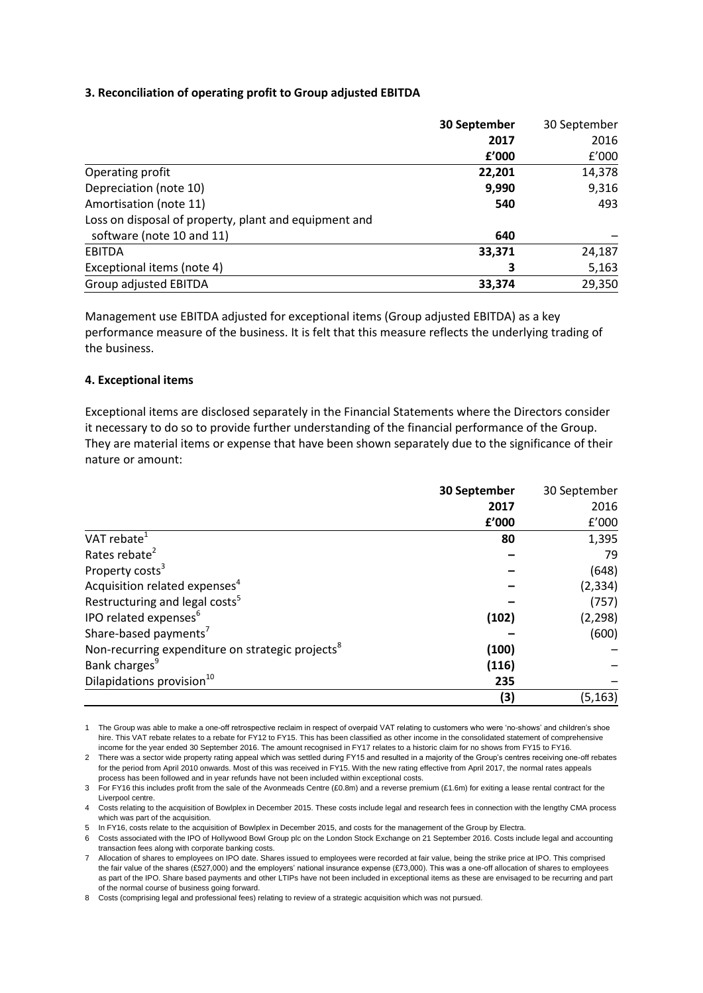## **3. Reconciliation of operating profit to Group adjusted EBITDA**

|                                                       | 30 September | 30 September |
|-------------------------------------------------------|--------------|--------------|
|                                                       | 2017         | 2016         |
|                                                       | f'000        | £'000        |
| Operating profit                                      | 22,201       | 14,378       |
| Depreciation (note 10)                                | 9,990        | 9,316        |
| Amortisation (note 11)                                | 540          | 493          |
| Loss on disposal of property, plant and equipment and |              |              |
| software (note 10 and 11)                             | 640          |              |
| <b>EBITDA</b>                                         | 33,371       | 24,187       |
| Exceptional items (note 4)                            | 3            | 5,163        |
| Group adjusted EBITDA                                 | 33,374       | 29,350       |

Management use EBITDA adjusted for exceptional items (Group adjusted EBITDA) as a key performance measure of the business. It is felt that this measure reflects the underlying trading of the business.

### **4. Exceptional items**

Exceptional items are disclosed separately in the Financial Statements where the Directors consider it necessary to do so to provide further understanding of the financial performance of the Group. They are material items or expense that have been shown separately due to the significance of their nature or amount:

|                                                              | 30 September | 30 September |
|--------------------------------------------------------------|--------------|--------------|
|                                                              | 2017         | 2016         |
|                                                              | £'000        | f'000        |
| VAT rebate <sup>1</sup>                                      | 80           | 1,395        |
| Rates rebate <sup>2</sup>                                    |              | 79           |
| Property costs <sup>3</sup>                                  |              | (648)        |
| Acquisition related expenses <sup>4</sup>                    |              | (2, 334)     |
| Restructuring and legal costs <sup>5</sup>                   |              | (757)        |
| IPO related expenses <sup>6</sup>                            | (102)        | (2, 298)     |
| Share-based payments <sup>7</sup>                            |              | (600)        |
| Non-recurring expenditure on strategic projects <sup>8</sup> | (100)        |              |
| Bank charges <sup>9</sup>                                    | (116)        |              |
| Dilapidations provision <sup>10</sup>                        | 235          |              |
|                                                              | (3)          | (5, 163)     |

1 The Group was able to make a one-off retrospective reclaim in respect of overpaid VAT relating to customers who were 'no-shows' and children's shoe hire. This VAT rebate relates to a rebate for FY12 to FY15. This has been classified as other income in the consolidated statement of comprehensive income for the year ended 30 September 2016. The amount recognised in FY17 relates to a historic claim for no shows from FY15 to FY16.

2 There was a sector wide property rating appeal which was settled during FY15 and resulted in a majority of the Group's centres receiving one-off rebates for the period from April 2010 onwards. Most of this was received in FY15. With the new rating effective from April 2017, the normal rates appeals process has been followed and in year refunds have not been included within exceptional costs.

3 For FY16 this includes profit from the sale of the Avonmeads Centre (£0.8m) and a reverse premium (£1.6m) for exiting a lease rental contract for the Liverpool centre.

4 Costs relating to the acquisition of Bowlplex in December 2015. These costs include legal and research fees in connection with the lengthy CMA process which was part of the acquisition.

5 In FY16, costs relate to the acquisition of Bowlplex in December 2015, and costs for the management of the Group by Electra.

6 Costs associated with the IPO of Hollywood Bowl Group plc on the London Stock Exchange on 21 September 2016. Costs include legal and accounting transaction fees along with corporate banking costs.

7 Allocation of shares to employees on IPO date. Shares issued to employees were recorded at fair value, being the strike price at IPO. This comprised the fair value of the shares (£527,000) and the employers' national insurance expense (£73,000). This was a one-off allocation of shares to employees as part of the IPO. Share based payments and other LTIPs have not been included in exceptional items as these are envisaged to be recurring and part of the normal course of business going forward.

8 Costs (comprising legal and professional fees) relating to review of a strategic acquisition which was not pursued.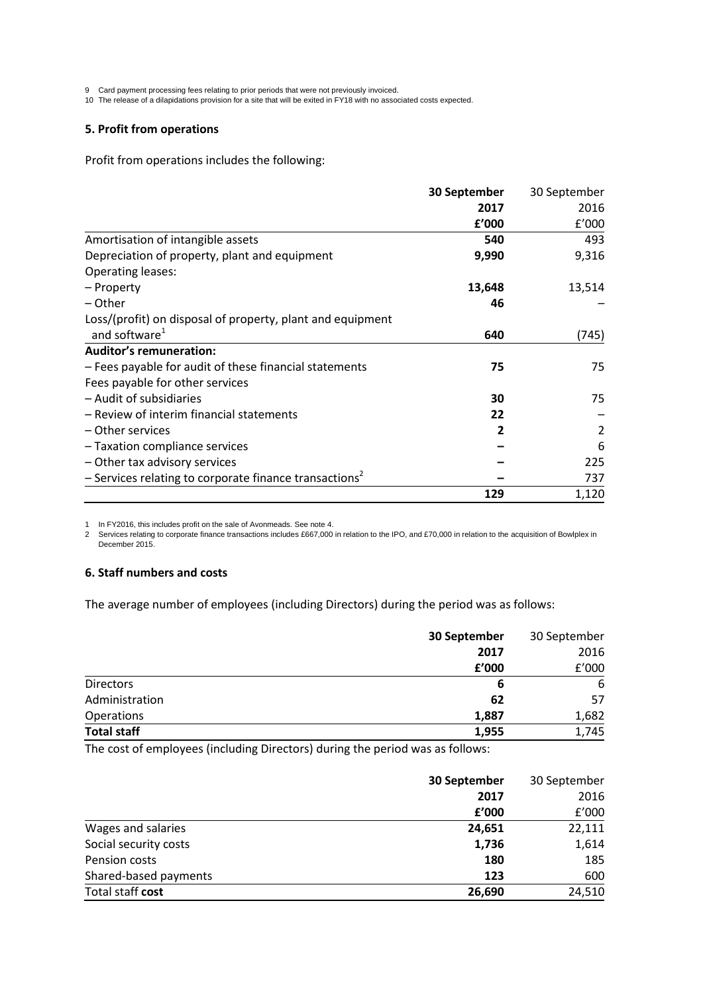9 Card payment processing fees relating to prior periods that were not previously invoiced.

10 The release of a dilapidations provision for a site that will be exited in FY18 with no associated costs expected.

#### **5. Profit from operations**

Profit from operations includes the following:

|                                                                      | 30 September | 30 September |
|----------------------------------------------------------------------|--------------|--------------|
|                                                                      | 2017         | 2016         |
|                                                                      | £'000        | f'000        |
| Amortisation of intangible assets                                    | 540          | 493          |
| Depreciation of property, plant and equipment                        | 9,990        | 9,316        |
| Operating leases:                                                    |              |              |
| – Property                                                           | 13,648       | 13,514       |
| – Other                                                              | 46           |              |
| Loss/(profit) on disposal of property, plant and equipment           |              |              |
| and software <sup>1</sup>                                            | 640          | (745)        |
| <b>Auditor's remuneration:</b>                                       |              |              |
| - Fees payable for audit of these financial statements               | 75           | 75           |
| Fees payable for other services                                      |              |              |
| - Audit of subsidiaries                                              | 30           | 75           |
| - Review of interim financial statements                             | 22           |              |
| – Other services                                                     | 2            | 2            |
| - Taxation compliance services                                       |              | 6            |
| - Other tax advisory services                                        |              | 225          |
| $-$ Services relating to corporate finance transactions <sup>2</sup> |              | 737          |
|                                                                      | 129          | 1,120        |

1 In FY2016, this includes profit on the sale of Avonmeads. See note 4.

2 Services relating to corporate finance transactions includes £667,000 in relation to the IPO, and £70,000 in relation to the acquisition of Bowlplex in December 2015.

### **6. Staff numbers and costs**

The average number of employees (including Directors) during the period was as follows:

|                    | 30 September | 30 September |  |
|--------------------|--------------|--------------|--|
|                    | 2017         | 2016         |  |
|                    | £'000        | f'000        |  |
| <b>Directors</b>   | 6            | 6            |  |
| Administration     | 62           | 57           |  |
| Operations         | 1,887        | 1,682        |  |
| <b>Total staff</b> | 1,955        | 1,745        |  |

The cost of employees (including Directors) during the period was as follows:

|                       | 30 September | 30 September |  |
|-----------------------|--------------|--------------|--|
|                       | 2017         | 2016         |  |
|                       | f'000        | £'000        |  |
| Wages and salaries    | 24,651       | 22,111       |  |
| Social security costs | 1,736        | 1,614        |  |
| Pension costs         | 180          | 185          |  |
| Shared-based payments | 123          | 600          |  |
| Total staff cost      | 26,690       | 24,510       |  |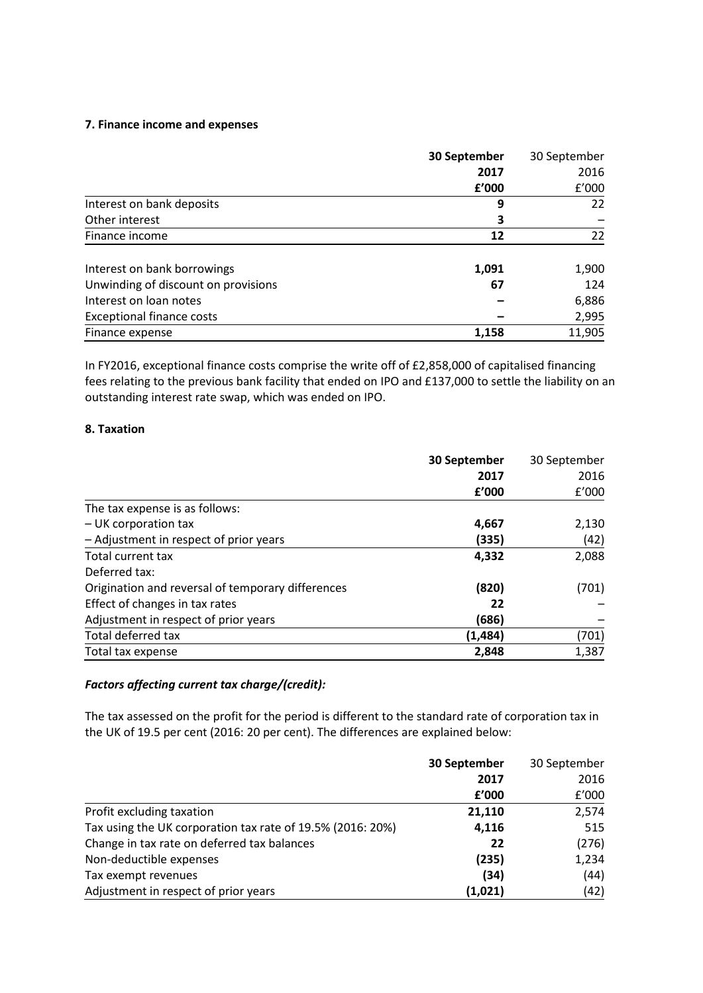### **7. Finance income and expenses**

|                                     | 30 September | 30 September |  |
|-------------------------------------|--------------|--------------|--|
|                                     | 2017         | 2016         |  |
|                                     | £'000        | f'000        |  |
| Interest on bank deposits           | 9            | 22           |  |
| Other interest                      | З            |              |  |
| Finance income                      | 12           | 22           |  |
| Interest on bank borrowings         | 1,091        | 1,900        |  |
| Unwinding of discount on provisions | 67           | 124          |  |
| Interest on loan notes              |              | 6,886        |  |
| <b>Exceptional finance costs</b>    |              | 2,995        |  |
| Finance expense                     | 1,158        | 11,905       |  |

In FY2016, exceptional finance costs comprise the write off of £2,858,000 of capitalised financing fees relating to the previous bank facility that ended on IPO and £137,000 to settle the liability on an outstanding interest rate swap, which was ended on IPO.

## **8. Taxation**

|                                                   | 30 September | 30 September |  |
|---------------------------------------------------|--------------|--------------|--|
|                                                   | 2017         | 2016         |  |
|                                                   | f'000        | f'000        |  |
| The tax expense is as follows:                    |              |              |  |
| $-$ UK corporation tax                            | 4,667        | 2,130        |  |
| - Adjustment in respect of prior years            | (335)        | (42)         |  |
| Total current tax                                 | 4,332        | 2,088        |  |
| Deferred tax:                                     |              |              |  |
| Origination and reversal of temporary differences | (820)        | (701)        |  |
| Effect of changes in tax rates                    | 22           |              |  |
| Adjustment in respect of prior years              | (686)        |              |  |
| Total deferred tax                                | (1,484)      | (701)        |  |
| Total tax expense                                 | 2,848        | 1,387        |  |

## *Factors affecting current tax charge/(credit):*

The tax assessed on the profit for the period is different to the standard rate of corporation tax in the UK of 19.5 per cent (2016: 20 per cent). The differences are explained below:

|                                                            | 30 September | 30 September |
|------------------------------------------------------------|--------------|--------------|
|                                                            | 2017         | 2016         |
|                                                            | f'000        | £'000        |
| Profit excluding taxation                                  | 21,110       | 2,574        |
| Tax using the UK corporation tax rate of 19.5% (2016: 20%) | 4,116        | 515          |
| Change in tax rate on deferred tax balances                | 22           | (276)        |
| Non-deductible expenses                                    | (235)        | 1,234        |
| Tax exempt revenues                                        | (34)         | (44)         |
| Adjustment in respect of prior years                       | (1,021)      | (42)         |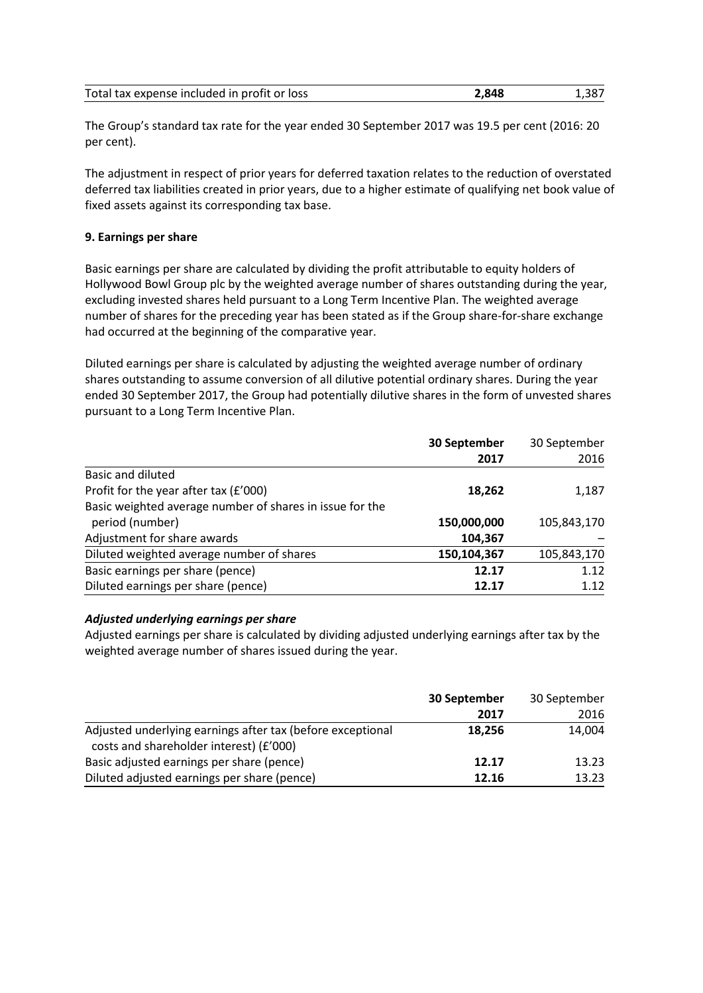| Total tax expense included in profit or loss | 2,848 | 1.387 |
|----------------------------------------------|-------|-------|
|----------------------------------------------|-------|-------|

The Group's standard tax rate for the year ended 30 September 2017 was 19.5 per cent (2016: 20 per cent).

The adjustment in respect of prior years for deferred taxation relates to the reduction of overstated deferred tax liabilities created in prior years, due to a higher estimate of qualifying net book value of fixed assets against its corresponding tax base.

## **9. Earnings per share**

Basic earnings per share are calculated by dividing the profit attributable to equity holders of Hollywood Bowl Group plc by the weighted average number of shares outstanding during the year, excluding invested shares held pursuant to a Long Term Incentive Plan. The weighted average number of shares for the preceding year has been stated as if the Group share-for-share exchange had occurred at the beginning of the comparative year.

Diluted earnings per share is calculated by adjusting the weighted average number of ordinary shares outstanding to assume conversion of all dilutive potential ordinary shares. During the year ended 30 September 2017, the Group had potentially dilutive shares in the form of unvested shares pursuant to a Long Term Incentive Plan.

|                                                          | 30 September | 30 September |
|----------------------------------------------------------|--------------|--------------|
|                                                          | 2017         | 2016         |
| Basic and diluted                                        |              |              |
| Profit for the year after tax (£'000)                    | 18,262       | 1,187        |
| Basic weighted average number of shares in issue for the |              |              |
| period (number)                                          | 150,000,000  | 105,843,170  |
| Adjustment for share awards                              | 104,367      |              |
| Diluted weighted average number of shares                | 150,104,367  | 105,843,170  |
| Basic earnings per share (pence)                         | 12.17        | 1.12         |
| Diluted earnings per share (pence)                       | 12.17        | 1.12         |

## *Adjusted underlying earnings per share*

Adjusted earnings per share is calculated by dividing adjusted underlying earnings after tax by the weighted average number of shares issued during the year.

|                                                                                                       | 30 September | 30 September |  |
|-------------------------------------------------------------------------------------------------------|--------------|--------------|--|
|                                                                                                       | 2017         | 2016         |  |
| Adjusted underlying earnings after tax (before exceptional<br>costs and shareholder interest) (£'000) | 18,256       | 14,004       |  |
| Basic adjusted earnings per share (pence)                                                             | 12.17        | 13.23        |  |
| Diluted adjusted earnings per share (pence)                                                           | 12.16        | 13.23        |  |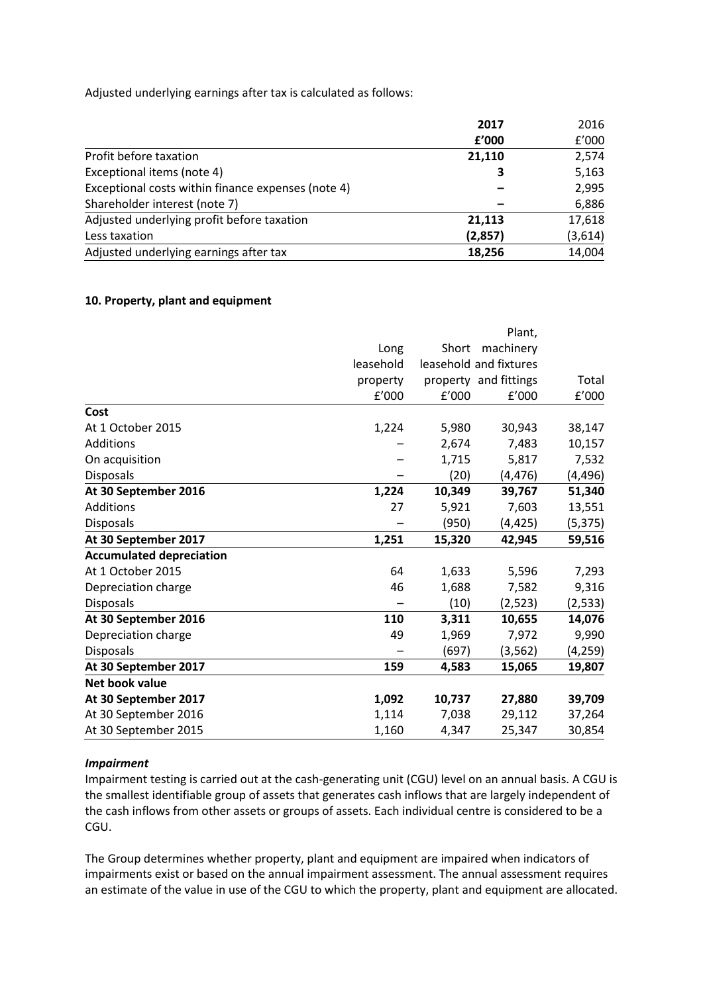Adjusted underlying earnings after tax is calculated as follows:

|                                                    | 2017    | 2016    |
|----------------------------------------------------|---------|---------|
|                                                    | f'000   | f'000   |
| Profit before taxation                             | 21,110  | 2,574   |
| Exceptional items (note 4)                         | 3       | 5,163   |
| Exceptional costs within finance expenses (note 4) |         | 2,995   |
| Shareholder interest (note 7)                      |         | 6,886   |
| Adjusted underlying profit before taxation         | 21,113  | 17,618  |
| Less taxation                                      | (2,857) | (3,614) |
| Adjusted underlying earnings after tax             | 18,256  | 14,004  |

### **10. Property, plant and equipment**

|                                 |           |        | Plant,                 |          |
|---------------------------------|-----------|--------|------------------------|----------|
|                                 | Long      | Short  | machinery              |          |
|                                 | leasehold |        | leasehold and fixtures |          |
|                                 | property  |        | property and fittings  | Total    |
|                                 | f'000     | f'000  | f'000                  | f'000    |
| Cost                            |           |        |                        |          |
| At 1 October 2015               | 1,224     | 5,980  | 30,943                 | 38,147   |
| Additions                       |           | 2,674  | 7,483                  | 10,157   |
| On acquisition                  |           | 1,715  | 5,817                  | 7,532    |
| <b>Disposals</b>                |           | (20)   | (4, 476)               | (4, 496) |
| At 30 September 2016            | 1,224     | 10,349 | 39,767                 | 51,340   |
| Additions                       | 27        | 5,921  | 7,603                  | 13,551   |
| <b>Disposals</b>                |           | (950)  | (4, 425)               | (5, 375) |
| At 30 September 2017            | 1,251     | 15,320 | 42,945                 | 59,516   |
| <b>Accumulated depreciation</b> |           |        |                        |          |
| At 1 October 2015               | 64        | 1,633  | 5,596                  | 7,293    |
| Depreciation charge             | 46        | 1,688  | 7,582                  | 9,316    |
| Disposals                       |           | (10)   | (2, 523)               | (2, 533) |
| At 30 September 2016            | 110       | 3,311  | 10,655                 | 14,076   |
| Depreciation charge             | 49        | 1,969  | 7,972                  | 9,990    |
| <b>Disposals</b>                |           | (697)  | (3, 562)               | (4, 259) |
| At 30 September 2017            | 159       | 4,583  | 15,065                 | 19,807   |
| Net book value                  |           |        |                        |          |
| At 30 September 2017            | 1,092     | 10,737 | 27,880                 | 39,709   |
| At 30 September 2016            | 1,114     | 7,038  | 29,112                 | 37,264   |
| At 30 September 2015            | 1,160     | 4,347  | 25,347                 | 30,854   |
|                                 |           |        |                        |          |

## *Impairment*

Impairment testing is carried out at the cash-generating unit (CGU) level on an annual basis. A CGU is the smallest identifiable group of assets that generates cash inflows that are largely independent of the cash inflows from other assets or groups of assets. Each individual centre is considered to be a CGU.

The Group determines whether property, plant and equipment are impaired when indicators of impairments exist or based on the annual impairment assessment. The annual assessment requires an estimate of the value in use of the CGU to which the property, plant and equipment are allocated.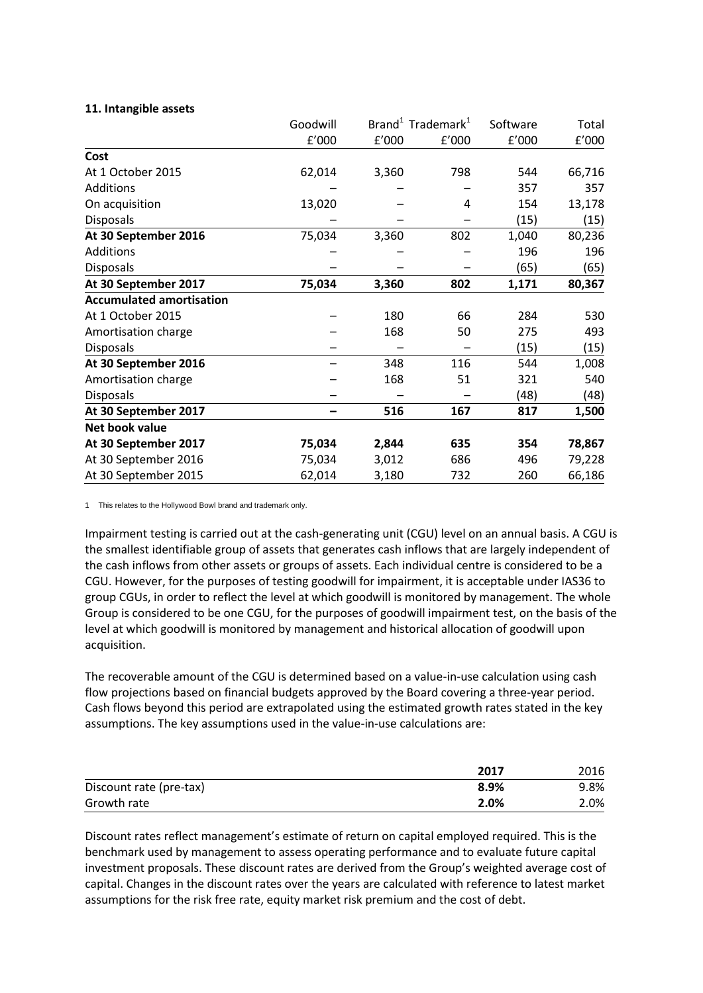## **11. Intangible assets**

|                                 | Goodwill |       | Brand <sup>1</sup> Trademark <sup>1</sup> | Software | Total  |
|---------------------------------|----------|-------|-------------------------------------------|----------|--------|
|                                 | f'000    | f'000 | f'000                                     | f'000    | f'000  |
| Cost                            |          |       |                                           |          |        |
| At 1 October 2015               | 62,014   | 3,360 | 798                                       | 544      | 66,716 |
| Additions                       |          |       |                                           | 357      | 357    |
| On acquisition                  | 13,020   |       | 4                                         | 154      | 13,178 |
| <b>Disposals</b>                |          |       |                                           | (15)     | (15)   |
| At 30 September 2016            | 75,034   | 3,360 | 802                                       | 1,040    | 80,236 |
| Additions                       |          |       |                                           | 196      | 196    |
| <b>Disposals</b>                |          |       |                                           | (65)     | (65)   |
| At 30 September 2017            | 75,034   | 3,360 | 802                                       | 1,171    | 80,367 |
| <b>Accumulated amortisation</b> |          |       |                                           |          |        |
| At 1 October 2015               |          | 180   | 66                                        | 284      | 530    |
| Amortisation charge             |          | 168   | 50                                        | 275      | 493    |
| <b>Disposals</b>                |          |       |                                           | (15)     | (15)   |
| At 30 September 2016            |          | 348   | 116                                       | 544      | 1,008  |
| Amortisation charge             |          | 168   | 51                                        | 321      | 540    |
| <b>Disposals</b>                |          |       |                                           | (48)     | (48)   |
| At 30 September 2017            |          | 516   | 167                                       | 817      | 1,500  |
| Net book value                  |          |       |                                           |          |        |
| At 30 September 2017            | 75,034   | 2,844 | 635                                       | 354      | 78,867 |
| At 30 September 2016            | 75,034   | 3,012 | 686                                       | 496      | 79,228 |
| At 30 September 2015            | 62,014   | 3,180 | 732                                       | 260      | 66,186 |

1 This relates to the Hollywood Bowl brand and trademark only.

Impairment testing is carried out at the cash-generating unit (CGU) level on an annual basis. A CGU is the smallest identifiable group of assets that generates cash inflows that are largely independent of the cash inflows from other assets or groups of assets. Each individual centre is considered to be a CGU. However, for the purposes of testing goodwill for impairment, it is acceptable under IAS36 to group CGUs, in order to reflect the level at which goodwill is monitored by management. The whole Group is considered to be one CGU, for the purposes of goodwill impairment test, on the basis of the level at which goodwill is monitored by management and historical allocation of goodwill upon acquisition.

The recoverable amount of the CGU is determined based on a value-in-use calculation using cash flow projections based on financial budgets approved by the Board covering a three-year period. Cash flows beyond this period are extrapolated using the estimated growth rates stated in the key assumptions. The key assumptions used in the value-in-use calculations are:

|                         | 2017 | 2016 |
|-------------------------|------|------|
| Discount rate (pre-tax) | 8.9% | 9.8% |
| Growth rate             | 2.0% | 2.0% |

Discount rates reflect management's estimate of return on capital employed required. This is the benchmark used by management to assess operating performance and to evaluate future capital investment proposals. These discount rates are derived from the Group's weighted average cost of capital. Changes in the discount rates over the years are calculated with reference to latest market assumptions for the risk free rate, equity market risk premium and the cost of debt.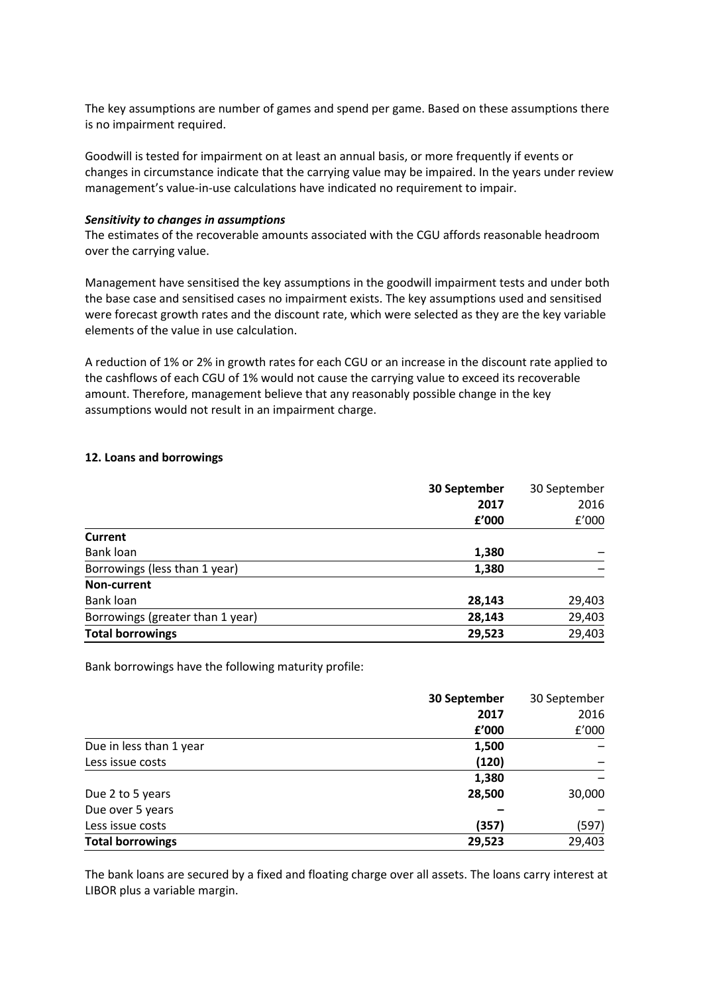The key assumptions are number of games and spend per game. Based on these assumptions there is no impairment required.

Goodwill is tested for impairment on at least an annual basis, or more frequently if events or changes in circumstance indicate that the carrying value may be impaired. In the years under review management's value-in-use calculations have indicated no requirement to impair.

## *Sensitivity to changes in assumptions*

The estimates of the recoverable amounts associated with the CGU affords reasonable headroom over the carrying value.

Management have sensitised the key assumptions in the goodwill impairment tests and under both the base case and sensitised cases no impairment exists. The key assumptions used and sensitised were forecast growth rates and the discount rate, which were selected as they are the key variable elements of the value in use calculation.

A reduction of 1% or 2% in growth rates for each CGU or an increase in the discount rate applied to the cashflows of each CGU of 1% would not cause the carrying value to exceed its recoverable amount. Therefore, management believe that any reasonably possible change in the key assumptions would not result in an impairment charge.

### **12. Loans and borrowings**

|                                  | 30 September | 30 September |
|----------------------------------|--------------|--------------|
|                                  | 2017         | 2016         |
|                                  | £'000        | f'000        |
| Current                          |              |              |
| Bank loan                        | 1,380        |              |
| Borrowings (less than 1 year)    | 1,380        |              |
| Non-current                      |              |              |
| Bank loan                        | 28,143       | 29,403       |
| Borrowings (greater than 1 year) | 28,143       | 29,403       |
| <b>Total borrowings</b>          | 29,523       | 29,403       |

Bank borrowings have the following maturity profile:

|                         | 30 September | 30 September |
|-------------------------|--------------|--------------|
|                         | 2017         | 2016         |
|                         | f'000        | f'000        |
| Due in less than 1 year | 1,500        |              |
| Less issue costs        | (120)        |              |
|                         | 1,380        |              |
| Due 2 to 5 years        | 28,500       | 30,000       |
| Due over 5 years        |              |              |
| Less issue costs        | (357)        | (597)        |
| <b>Total borrowings</b> | 29,523       | 29,403       |

The bank loans are secured by a fixed and floating charge over all assets. The loans carry interest at LIBOR plus a variable margin.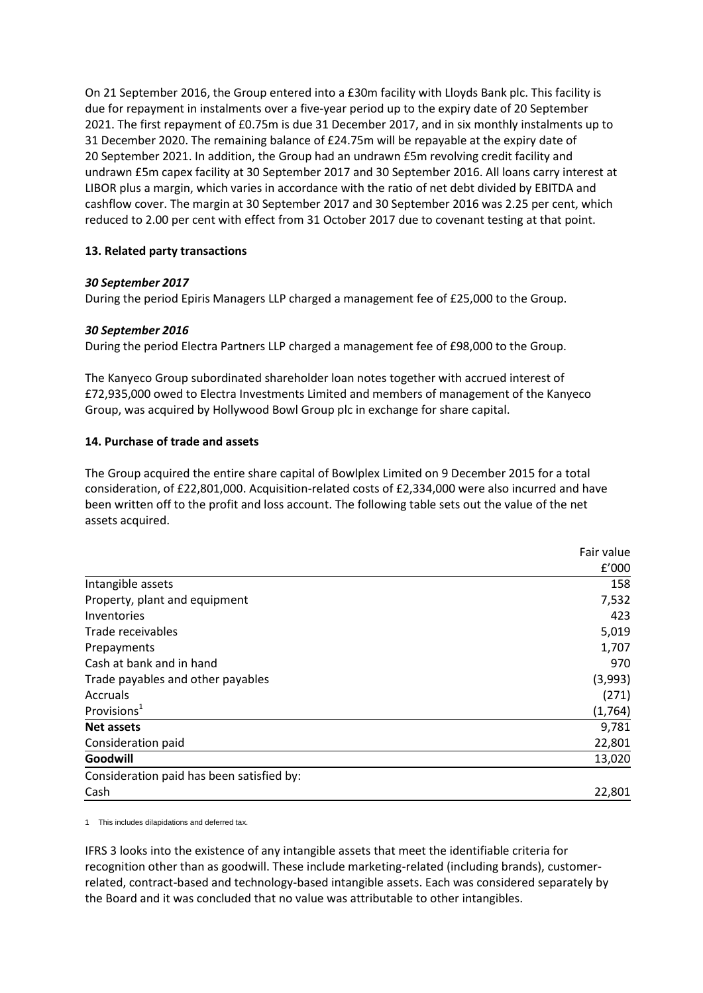On 21 September 2016, the Group entered into a £30m facility with Lloyds Bank plc. This facility is due for repayment in instalments over a five-year period up to the expiry date of 20 September 2021. The first repayment of £0.75m is due 31 December 2017, and in six monthly instalments up to 31 December 2020. The remaining balance of £24.75m will be repayable at the expiry date of 20 September 2021. In addition, the Group had an undrawn £5m revolving credit facility and undrawn £5m capex facility at 30 September 2017 and 30 September 2016. All loans carry interest at LIBOR plus a margin, which varies in accordance with the ratio of net debt divided by EBITDA and cashflow cover. The margin at 30 September 2017 and 30 September 2016 was 2.25 per cent, which reduced to 2.00 per cent with effect from 31 October 2017 due to covenant testing at that point.

## **13. Related party transactions**

## *30 September 2017*

During the period Epiris Managers LLP charged a management fee of £25,000 to the Group.

## *30 September 2016*

During the period Electra Partners LLP charged a management fee of £98,000 to the Group.

The Kanyeco Group subordinated shareholder loan notes together with accrued interest of £72,935,000 owed to Electra Investments Limited and members of management of the Kanyeco Group, was acquired by Hollywood Bowl Group plc in exchange for share capital.

## **14. Purchase of trade and assets**

The Group acquired the entire share capital of Bowlplex Limited on 9 December 2015 for a total consideration, of £22,801,000. Acquisition-related costs of £2,334,000 were also incurred and have been written off to the profit and loss account. The following table sets out the value of the net assets acquired.

|                                           | Fair value |
|-------------------------------------------|------------|
|                                           | £'000      |
| Intangible assets                         | 158        |
| Property, plant and equipment             | 7,532      |
| Inventories                               | 423        |
| Trade receivables                         | 5,019      |
| Prepayments                               | 1,707      |
| Cash at bank and in hand                  | 970        |
| Trade payables and other payables         | (3,993)    |
| Accruals                                  | (271)      |
| Provisions <sup>1</sup>                   | (1,764)    |
| <b>Net assets</b>                         | 9,781      |
| Consideration paid                        | 22,801     |
| Goodwill                                  | 13,020     |
| Consideration paid has been satisfied by: |            |
| Cash                                      | 22,801     |

1 This includes dilapidations and deferred tax.

IFRS 3 looks into the existence of any intangible assets that meet the identifiable criteria for recognition other than as goodwill. These include marketing-related (including brands), customerrelated, contract-based and technology-based intangible assets. Each was considered separately by the Board and it was concluded that no value was attributable to other intangibles.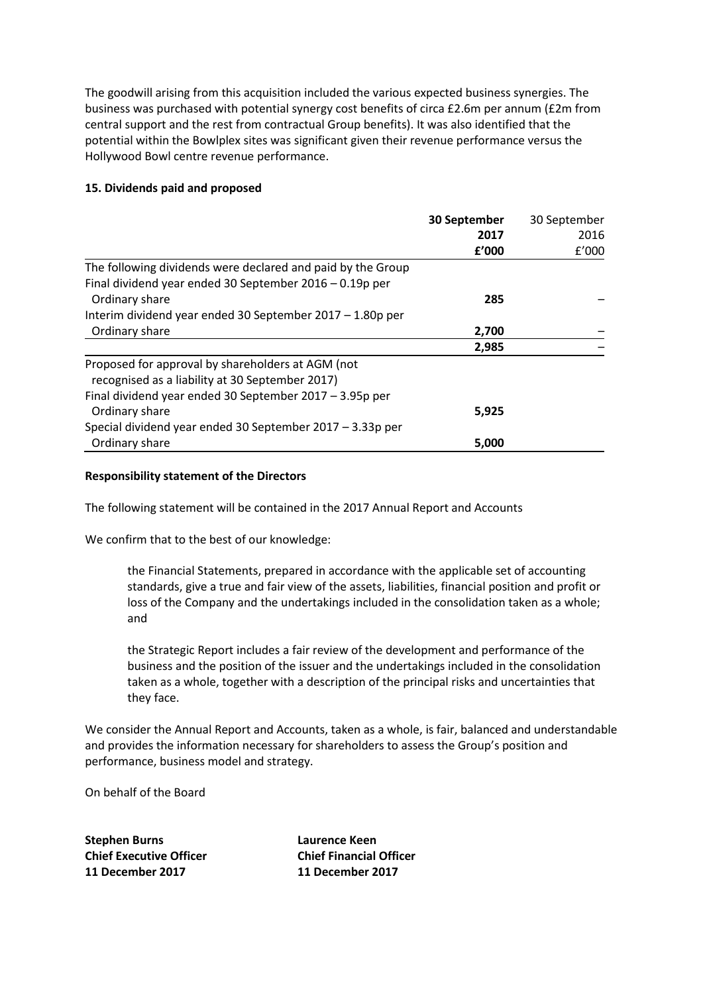The goodwill arising from this acquisition included the various expected business synergies. The business was purchased with potential synergy cost benefits of circa £2.6m per annum (£2m from central support and the rest from contractual Group benefits). It was also identified that the potential within the Bowlplex sites was significant given their revenue performance versus the Hollywood Bowl centre revenue performance.

## **15. Dividends paid and proposed**

|                                                             | 30 September | 30 September |
|-------------------------------------------------------------|--------------|--------------|
|                                                             | 2017         | 2016         |
|                                                             | £'000        | f'000        |
| The following dividends were declared and paid by the Group |              |              |
| Final dividend year ended 30 September 2016 - 0.19p per     |              |              |
| Ordinary share                                              | 285          |              |
| Interim dividend year ended 30 September 2017 - 1.80p per   |              |              |
| Ordinary share                                              | 2,700        |              |
|                                                             | 2,985        |              |
| Proposed for approval by shareholders at AGM (not           |              |              |
| recognised as a liability at 30 September 2017)             |              |              |
| Final dividend year ended 30 September 2017 - 3.95p per     |              |              |
| Ordinary share                                              | 5,925        |              |
| Special dividend year ended 30 September 2017 - 3.33p per   |              |              |
| Ordinary share                                              | 5,000        |              |

## **Responsibility statement of the Directors**

The following statement will be contained in the 2017 Annual Report and Accounts

We confirm that to the best of our knowledge:

the Financial Statements, prepared in accordance with the applicable set of accounting standards, give a true and fair view of the assets, liabilities, financial position and profit or loss of the Company and the undertakings included in the consolidation taken as a whole; and

the Strategic Report includes a fair review of the development and performance of the business and the position of the issuer and the undertakings included in the consolidation taken as a whole, together with a description of the principal risks and uncertainties that they face.

We consider the Annual Report and Accounts, taken as a whole, is fair, balanced and understandable and provides the information necessary for shareholders to assess the Group's position and performance, business model and strategy.

On behalf of the Board

**Stephen Burns Laurence Keen Chief Executive Officer Chief Financial Officer 11 December 2017 11 December 2017**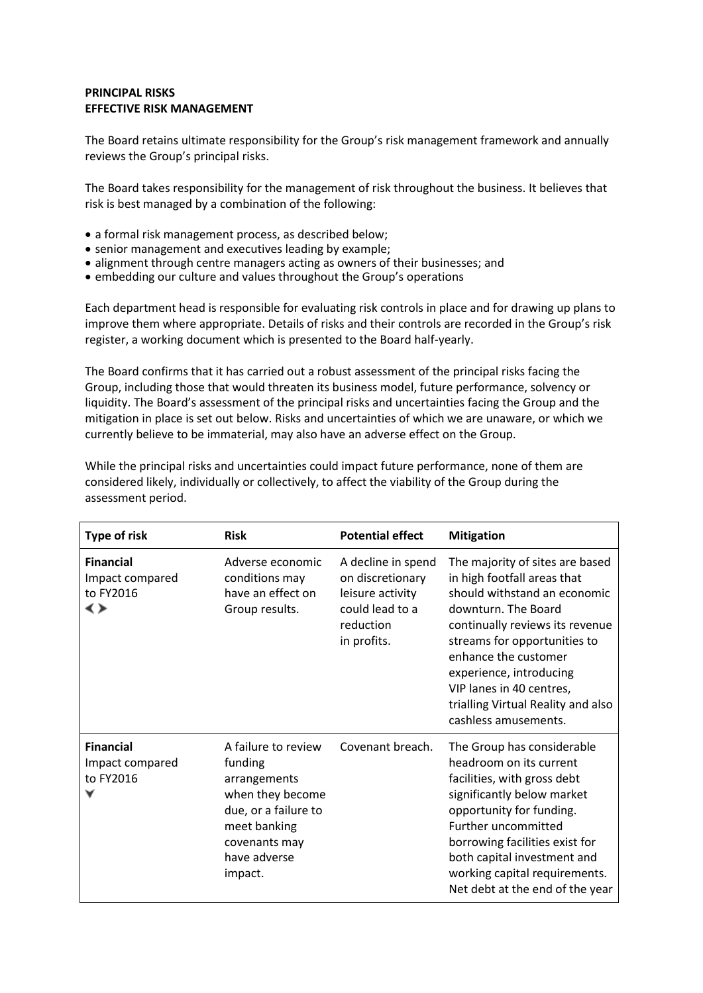## **PRINCIPAL RISKS EFFECTIVE RISK MANAGEMENT**

The Board retains ultimate responsibility for the Group's risk management framework and annually reviews the Group's principal risks.

The Board takes responsibility for the management of risk throughout the business. It believes that risk is best managed by a combination of the following:

- a formal risk management process, as described below;
- senior management and executives leading by example;
- alignment through centre managers acting as owners of their businesses; and
- embedding our culture and values throughout the Group's operations

Each department head is responsible for evaluating risk controls in place and for drawing up plans to improve them where appropriate. Details of risks and their controls are recorded in the Group's risk register, a working document which is presented to the Board half-yearly.

The Board confirms that it has carried out a robust assessment of the principal risks facing the Group, including those that would threaten its business model, future performance, solvency or liquidity. The Board's assessment of the principal risks and uncertainties facing the Group and the mitigation in place is set out below. Risks and uncertainties of which we are unaware, or which we currently believe to be immaterial, may also have an adverse effect on the Group.

While the principal risks and uncertainties could impact future performance, none of them are considered likely, individually or collectively, to affect the viability of the Group during the assessment period.

| Type of risk                                           | <b>Risk</b>                                                                                                                                            | <b>Potential effect</b>                                                                                   | <b>Mitigation</b>                                                                                                                                                                                                                                                                                                                     |
|--------------------------------------------------------|--------------------------------------------------------------------------------------------------------------------------------------------------------|-----------------------------------------------------------------------------------------------------------|---------------------------------------------------------------------------------------------------------------------------------------------------------------------------------------------------------------------------------------------------------------------------------------------------------------------------------------|
| <b>Financial</b><br>Impact compared<br>to FY2016<br>≺≻ | Adverse economic<br>conditions may<br>have an effect on<br>Group results.                                                                              | A decline in spend<br>on discretionary<br>leisure activity<br>could lead to a<br>reduction<br>in profits. | The majority of sites are based<br>in high footfall areas that<br>should withstand an economic<br>downturn. The Board<br>continually reviews its revenue<br>streams for opportunities to<br>enhance the customer<br>experience, introducing<br>VIP lanes in 40 centres,<br>trialling Virtual Reality and also<br>cashless amusements. |
| <b>Financial</b><br>Impact compared<br>to FY2016       | A failure to review<br>funding<br>arrangements<br>when they become<br>due, or a failure to<br>meet banking<br>covenants may<br>have adverse<br>impact. | Covenant breach.                                                                                          | The Group has considerable<br>headroom on its current<br>facilities, with gross debt<br>significantly below market<br>opportunity for funding.<br>Further uncommitted<br>borrowing facilities exist for<br>both capital investment and<br>working capital requirements.<br>Net debt at the end of the year                            |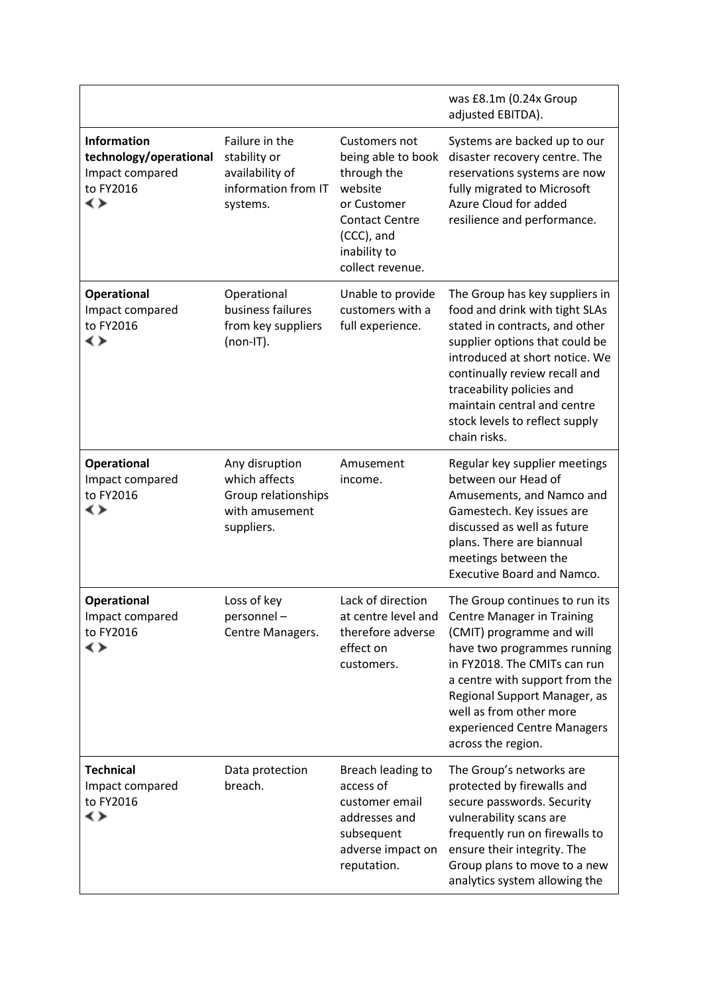|                                                                                    |                                                                                        |                                                                                                                                                         | was £8.1m (0.24x Group<br>adjusted EBITDA).                                                                                                                                                                                                                                                                           |
|------------------------------------------------------------------------------------|----------------------------------------------------------------------------------------|---------------------------------------------------------------------------------------------------------------------------------------------------------|-----------------------------------------------------------------------------------------------------------------------------------------------------------------------------------------------------------------------------------------------------------------------------------------------------------------------|
| <b>Information</b><br>technology/operational<br>Impact compared<br>to FY2016<br>∢≻ | Failure in the<br>stability or<br>availability of<br>information from IT<br>systems.   | Customers not<br>being able to book<br>through the<br>website<br>or Customer<br><b>Contact Centre</b><br>(CCC), and<br>inability to<br>collect revenue. | Systems are backed up to our<br>disaster recovery centre. The<br>reservations systems are now<br>fully migrated to Microsoft<br>Azure Cloud for added<br>resilience and performance.                                                                                                                                  |
| <b>Operational</b><br>Impact compared<br>to FY2016<br>◆                            | Operational<br>business failures<br>from key suppliers<br>$(non-IT).$                  | Unable to provide<br>customers with a<br>full experience.                                                                                               | The Group has key suppliers in<br>food and drink with tight SLAs<br>stated in contracts, and other<br>supplier options that could be<br>introduced at short notice. We<br>continually review recall and<br>traceability policies and<br>maintain central and centre<br>stock levels to reflect supply<br>chain risks. |
| <b>Operational</b><br>Impact compared<br>to FY2016<br>∢≻                           | Any disruption<br>which affects<br>Group relationships<br>with amusement<br>suppliers. | Amusement<br>income.                                                                                                                                    | Regular key supplier meetings<br>between our Head of<br>Amusements, and Namco and<br>Gamestech. Key issues are<br>discussed as well as future<br>plans. There are biannual<br>meetings between the<br><b>Executive Board and Namco.</b>                                                                               |
| <b>Operational</b><br>Impact compared<br>to FY2016<br>∢≻                           | Loss of key<br>personnel-<br>Centre Managers.                                          | Lack of direction<br>at centre level and<br>therefore adverse<br>effect on<br>customers.                                                                | The Group continues to run its<br><b>Centre Manager in Training</b><br>(CMIT) programme and will<br>have two programmes running<br>in FY2018. The CMITs can run<br>a centre with support from the<br>Regional Support Manager, as<br>well as from other more<br>experienced Centre Managers<br>across the region.     |
| <b>Technical</b><br>Impact compared<br>to FY2016<br>≺≻                             | Data protection<br>breach.                                                             | Breach leading to<br>access of<br>customer email<br>addresses and<br>subsequent<br>adverse impact on<br>reputation.                                     | The Group's networks are<br>protected by firewalls and<br>secure passwords. Security<br>vulnerability scans are<br>frequently run on firewalls to<br>ensure their integrity. The<br>Group plans to move to a new<br>analytics system allowing the                                                                     |